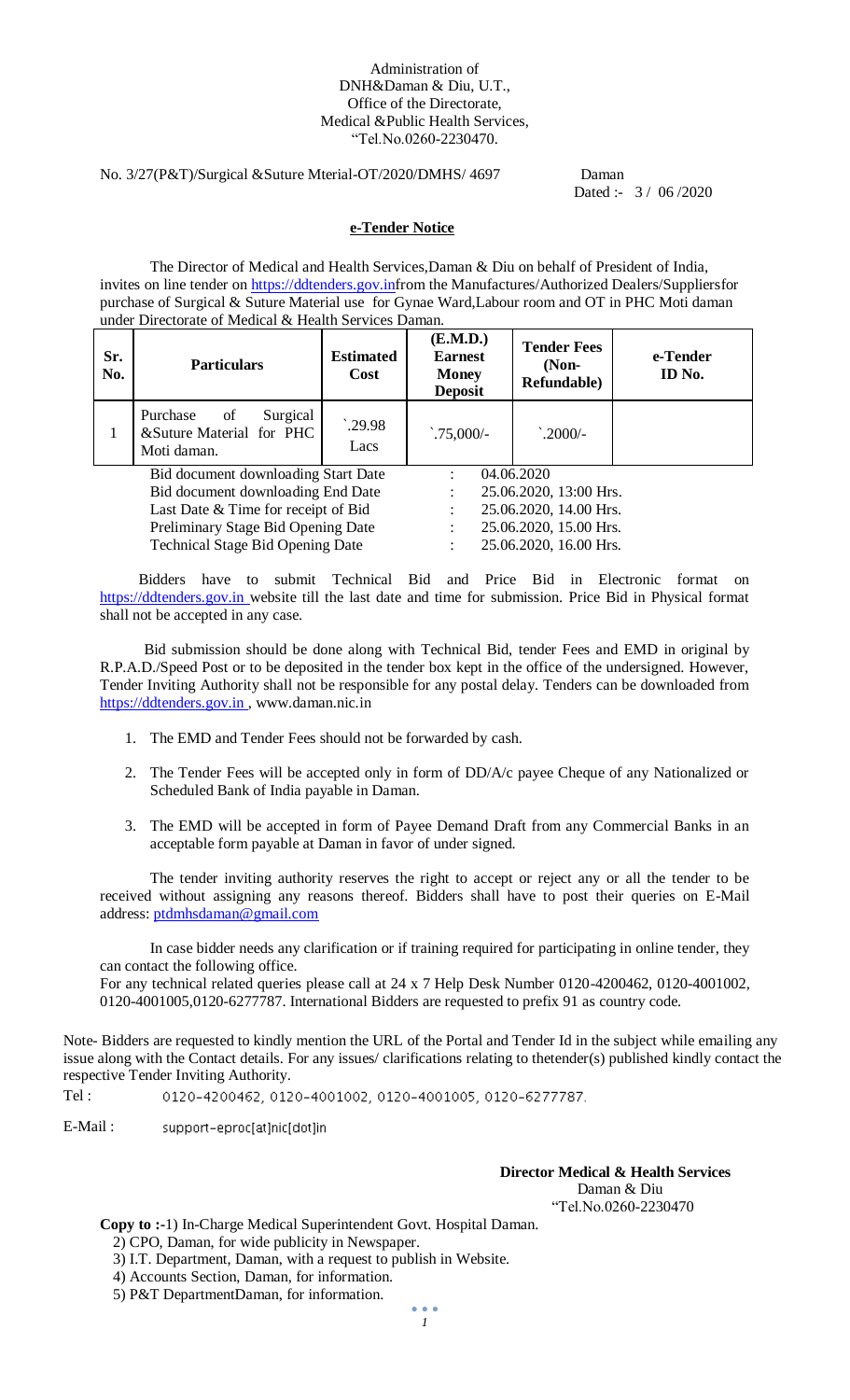#### Administration of DNH&Daman & Diu, U.T., Office of the Directorate, Medical &Public Health Services, "Tel.No.0260-2230470.

#### No. 3/27(P&T)/Surgical &Suture Mterial-OT/2020/DMHS/ 4697 Daman

Dated :- 3 / 06 /2020

#### **e-Tender Notice**

The Director of Medical and Health Services,Daman & Diu on behalf of President of India, invites on line tender on [https://ddtenders.gov.inf](https://ddtenders.gov.in/)rom the Manufactures/Authorized Dealers/Suppliersfor purchase of Surgical & Suture Material use for Gynae Ward,Labour room and OT in PHC Moti daman under Directorate of Medical & Health Services Daman.

| Sr.<br>No.                                                                                                                                                                                       | <b>Particulars</b>                                                    | <b>Estimated</b><br>Cost | (E.M.D.)<br><b>Earnest</b><br><b>Money</b><br><b>Deposit</b> | <b>Tender Fees</b><br>$(Non-$<br>Refundable)                                                                       | e-Tender<br>ID No. |
|--------------------------------------------------------------------------------------------------------------------------------------------------------------------------------------------------|-----------------------------------------------------------------------|--------------------------|--------------------------------------------------------------|--------------------------------------------------------------------------------------------------------------------|--------------------|
| 1                                                                                                                                                                                                | Purchase<br>Surgical<br>of<br>&Suture Material for PHC<br>Moti daman. | .29.98<br>Lacs           | $.75,000/-$                                                  | $^{\cdot}$ .2000/-                                                                                                 |                    |
| Bid document downloading Start Date<br>Bid document downloading End Date<br>Last Date & Time for receipt of Bid<br>Preliminary Stage Bid Opening Date<br><b>Technical Stage Bid Opening Date</b> |                                                                       |                          |                                                              | 04.06.2020<br>25.06.2020, 13:00 Hrs.<br>25.06.2020, 14.00 Hrs.<br>25.06.2020, 15.00 Hrs.<br>25.06.2020, 16.00 Hrs. |                    |

 Bidders have to submit Technical Bid and Price Bid in Electronic format on [https://ddtenders.gov.in w](https://www.nprocure.com/)ebsite till the last date and time for submission. Price Bid in Physical format shall not be accepted in any case.

 Bid submission should be done along with Technical Bid, tender Fees and EMD in original by R.P.A.D./Speed Post or to be deposited in the tender box kept in the office of the undersigned. However, Tender Inviting Authority shall not be responsible for any postal delay. Tenders can be downloaded from https://ddtenders.gov.in, www.daman.nic.in

- 1. The EMD and Tender Fees should not be forwarded by cash.
- 2. The Tender Fees will be accepted only in form of DD/A/c payee Cheque of any Nationalized or Scheduled Bank of India payable in Daman.
- 3. The EMD will be accepted in form of Payee Demand Draft from any Commercial Banks in an acceptable form payable at Daman in favor of under signed.

The tender inviting authority reserves the right to accept or reject any or all the tender to be received without assigning any reasons thereof. Bidders shall have to post their queries on E-Mail address: [ptdmhsdaman@gmail.com](mailto:ptdmhsdaman@gmail.com)

In case bidder needs any clarification or if training required for participating in online tender, they can contact the following office.

For any technical related queries please call at 24 x 7 Help Desk Number 0120-4200462, 0120-4001002, 0120-4001005,0120-6277787. International Bidders are requested to prefix 91 as country code.

Note- Bidders are requested to kindly mention the URL of the Portal and Tender Id in the subject while emailing any issue along with the Contact details. For any issues/ clarifications relating to thetender(s) published kindly contact the respective Tender Inviting Authority.

Tel : 0120-4200462, 0120-4001002, 0120-4001005, 0120-6277787.

E-Mail : support-eproc[at]nic[dot]in

#### **Director Medical & Health Services**

 Daman & Diu "Tel.No.0260-2230470

**Copy to :-**1) In-Charge Medical Superintendent Govt. Hospital Daman.

2) CPO, Daman, for wide publicity in Newspaper.

3) I.T. Department, Daman, with a request to publish in Website.

4) Accounts Section, Daman, for information.

5) P&T DepartmentDaman, for information.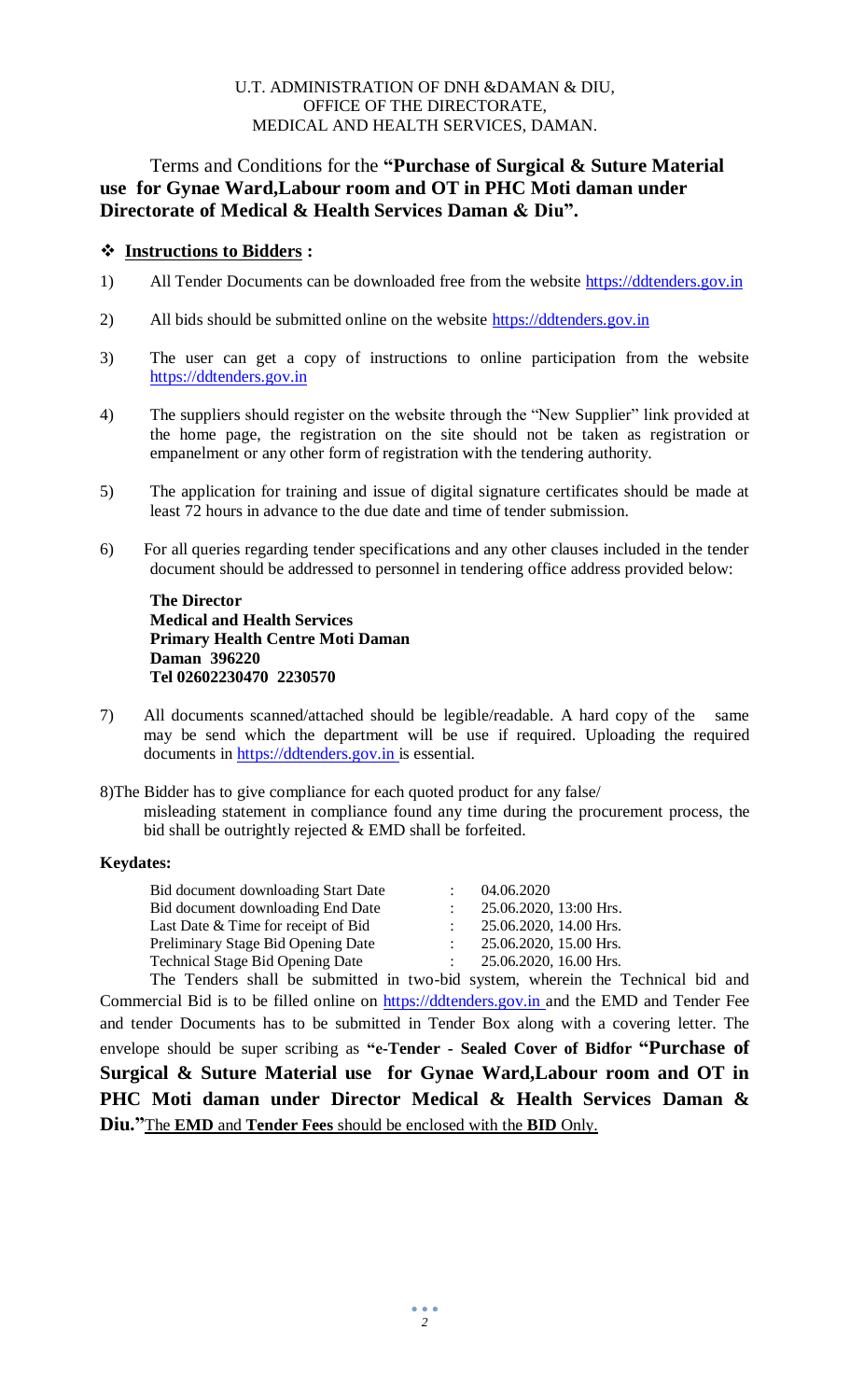#### U.T. ADMINISTRATION OF DNH &DAMAN & DIU, OFFICE OF THE DIRECTORATE, MEDICAL AND HEALTH SERVICES, DAMAN.

# Terms and Conditions for the **"Purchase of Surgical & Suture Material use for Gynae Ward,Labour room and OT in PHC Moti daman under Directorate of Medical & Health Services Daman & Diu".**

### **Instructions to Bidders :**

- 1) All Tender Documents can be downloaded free from the website [https://ddtenders.gov.in](https://www.nprocure.com/)
- 2) All bids should be submitted online on the website https://ddtenders.gov.in
- 3) The user can get a copy of instructions to online participation from the website [https://ddtenders.gov.in](https://www.nprocure.com/)
- 4) The suppliers should register on the website through the "New Supplier" link provided at the home page, the registration on the site should not be taken as registration or empanelment or any other form of registration with the tendering authority.
- 5) The application for training and issue of digital signature certificates should be made at least 72 hours in advance to the due date and time of tender submission.
- 6) For all queries regarding tender specifications and any other clauses included in the tender document should be addressed to personnel in tendering office address provided below:

**The Director Medical and Health Services Primary Health Centre Moti Daman Daman 396220 Tel 02602230470 2230570**

7) All documents scanned/attached should be legible/readable. A hard copy of the same may be send which the department will be use if required. Uploading the required documents in [https://ddtenders.gov.in i](https://www.nprocure.com/)s essential.

8)The Bidder has to give compliance for each quoted product for any false/ misleading statement in compliance found any time during the procurement process, the bid shall be outrightly rejected & EMD shall be forfeited.

#### **Keydates:**

| Bid document downloading Start Date                             | 04.06.2020             |
|-----------------------------------------------------------------|------------------------|
| Bid document downloading End Date                               | 25.06.2020, 13:00 Hrs. |
| Last Date & Time for receipt of Bid                             | 25.06.2020, 14.00 Hrs. |
| Preliminary Stage Bid Opening Date                              | 25.06.2020, 15.00 Hrs. |
| <b>Technical Stage Bid Opening Date</b>                         | 25.06.2020, 16.00 Hrs. |
| The Tenders shell be sympatical in two hid system whenein the I |                        |

The Tenders shall be submitted in two-bid system, wherein the Technical bid and Commercial Bid is to be filled online on [https://ddtenders.gov.in a](https://www.nprocure.com/)nd the EMD and Tender Fee and tender Documents has to be submitted in Tender Box along with a covering letter. The envelope should be super scribing as **"e-Tender - Sealed Cover of Bidfor "Purchase of Surgical & Suture Material use for Gynae Ward,Labour room and OT in PHC Moti daman under Director Medical & Health Services Daman & Diu."**The **EMD** and **Tender Fees** should be enclosed with the **BID** Only.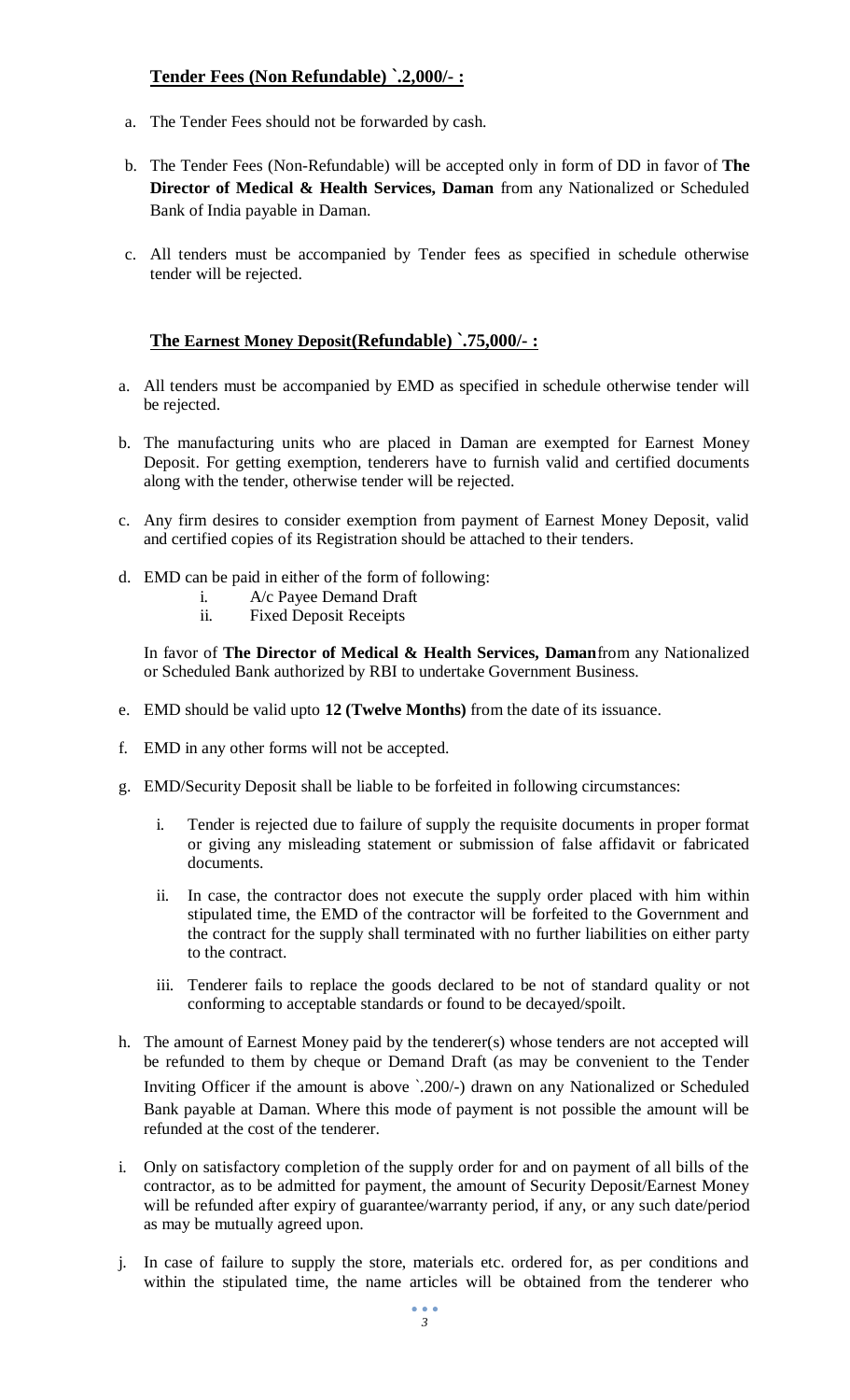# **Tender Fees (Non Refundable) `.2,000/- :**

- a. The Tender Fees should not be forwarded by cash.
- b. The Tender Fees (Non-Refundable) will be accepted only in form of DD in favor of **The Director of Medical & Health Services, Daman** from any Nationalized or Scheduled Bank of India payable in Daman.
- c. All tenders must be accompanied by Tender fees as specified in schedule otherwise tender will be rejected.

# **The Earnest Money Deposit(Refundable) `.75,000/- :**

- a. All tenders must be accompanied by EMD as specified in schedule otherwise tender will be rejected.
- b. The manufacturing units who are placed in Daman are exempted for Earnest Money Deposit. For getting exemption, tenderers have to furnish valid and certified documents along with the tender, otherwise tender will be rejected.
- c. Any firm desires to consider exemption from payment of Earnest Money Deposit, valid and certified copies of its Registration should be attached to their tenders.
- d. EMD can be paid in either of the form of following:
	- i. A/c Payee Demand Draft
	- ii. Fixed Deposit Receipts

In favor of **The Director of Medical & Health Services, Daman**from any Nationalized or Scheduled Bank authorized by RBI to undertake Government Business.

- e. EMD should be valid upto **12 (Twelve Months)** from the date of its issuance.
- f. EMD in any other forms will not be accepted.
- g. EMD/Security Deposit shall be liable to be forfeited in following circumstances:
	- i. Tender is rejected due to failure of supply the requisite documents in proper format or giving any misleading statement or submission of false affidavit or fabricated documents.
	- ii. In case, the contractor does not execute the supply order placed with him within stipulated time, the EMD of the contractor will be forfeited to the Government and the contract for the supply shall terminated with no further liabilities on either party to the contract.
	- iii. Tenderer fails to replace the goods declared to be not of standard quality or not conforming to acceptable standards or found to be decayed/spoilt.
- h. The amount of Earnest Money paid by the tenderer(s) whose tenders are not accepted will be refunded to them by cheque or Demand Draft (as may be convenient to the Tender Inviting Officer if the amount is above `.200/-) drawn on any Nationalized or Scheduled Bank payable at Daman. Where this mode of payment is not possible the amount will be refunded at the cost of the tenderer.
- i. Only on satisfactory completion of the supply order for and on payment of all bills of the contractor, as to be admitted for payment, the amount of Security Deposit/Earnest Money will be refunded after expiry of guarantee/warranty period, if any, or any such date/period as may be mutually agreed upon.
- j. In case of failure to supply the store, materials etc. ordered for, as per conditions and within the stipulated time, the name articles will be obtained from the tenderer who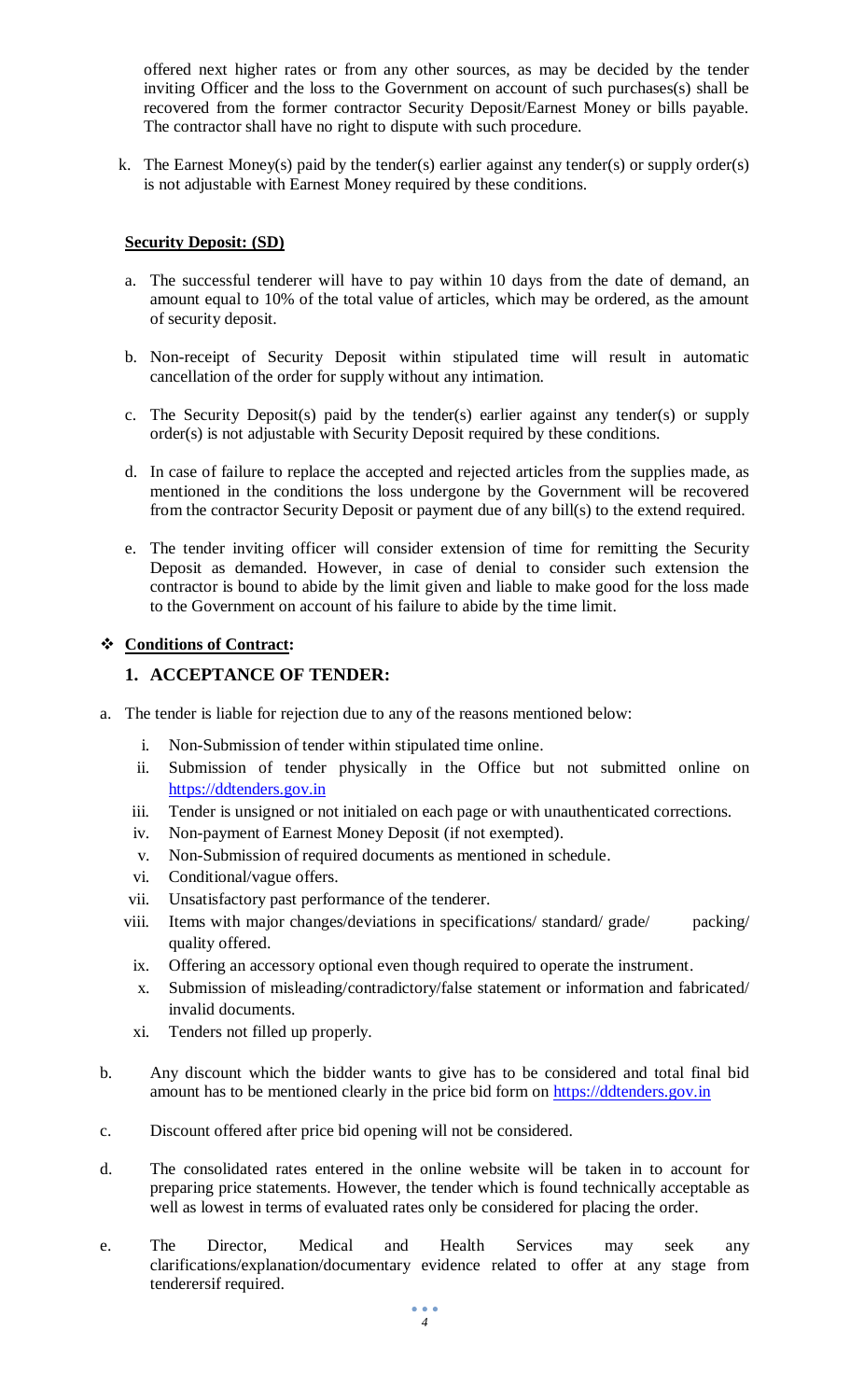offered next higher rates or from any other sources, as may be decided by the tender inviting Officer and the loss to the Government on account of such purchases(s) shall be recovered from the former contractor Security Deposit/Earnest Money or bills payable. The contractor shall have no right to dispute with such procedure.

k. The Earnest Money(s) paid by the tender(s) earlier against any tender(s) or supply order(s) is not adjustable with Earnest Money required by these conditions.

#### **Security Deposit: (SD)**

- a. The successful tenderer will have to pay within 10 days from the date of demand, an amount equal to 10% of the total value of articles, which may be ordered, as the amount of security deposit.
- b. Non-receipt of Security Deposit within stipulated time will result in automatic cancellation of the order for supply without any intimation.
- c. The Security Deposit(s) paid by the tender(s) earlier against any tender(s) or supply order(s) is not adjustable with Security Deposit required by these conditions.
- d. In case of failure to replace the accepted and rejected articles from the supplies made, as mentioned in the conditions the loss undergone by the Government will be recovered from the contractor Security Deposit or payment due of any bill(s) to the extend required.
- e. The tender inviting officer will consider extension of time for remitting the Security Deposit as demanded. However, in case of denial to consider such extension the contractor is bound to abide by the limit given and liable to make good for the loss made to the Government on account of his failure to abide by the time limit.

#### **Conditions of Contract:**

### **1. ACCEPTANCE OF TENDER:**

- a. The tender is liable for rejection due to any of the reasons mentioned below:
	- i. Non-Submission of tender within stipulated time online.
	- ii. Submission of tender physically in the Office but not submitted online on [https://ddtenders.gov.in](https://www.nprocure.com/)
	- iii. Tender is unsigned or not initialed on each page or with unauthenticated corrections.
	- iv. Non-payment of Earnest Money Deposit (if not exempted).
	- v. Non-Submission of required documents as mentioned in schedule.
	- vi. Conditional/vague offers.
	- vii. Unsatisfactory past performance of the tenderer.
	- viii. Items with major changes/deviations in specifications/ standard/ grade/ packing/ quality offered.
	- ix. Offering an accessory optional even though required to operate the instrument.
	- x. Submission of misleading/contradictory/false statement or information and fabricated/ invalid documents.
	- xi. Tenders not filled up properly.
- b. Any discount which the bidder wants to give has to be considered and total final bid amount has to be mentioned clearly in the price bid form on https://ddtenders.gov.in
- c. Discount offered after price bid opening will not be considered.
- d. The consolidated rates entered in the online website will be taken in to account for preparing price statements. However, the tender which is found technically acceptable as well as lowest in terms of evaluated rates only be considered for placing the order.
- e. The Director, Medical and Health Services may seek any clarifications/explanation/documentary evidence related to offer at any stage from tenderersif required.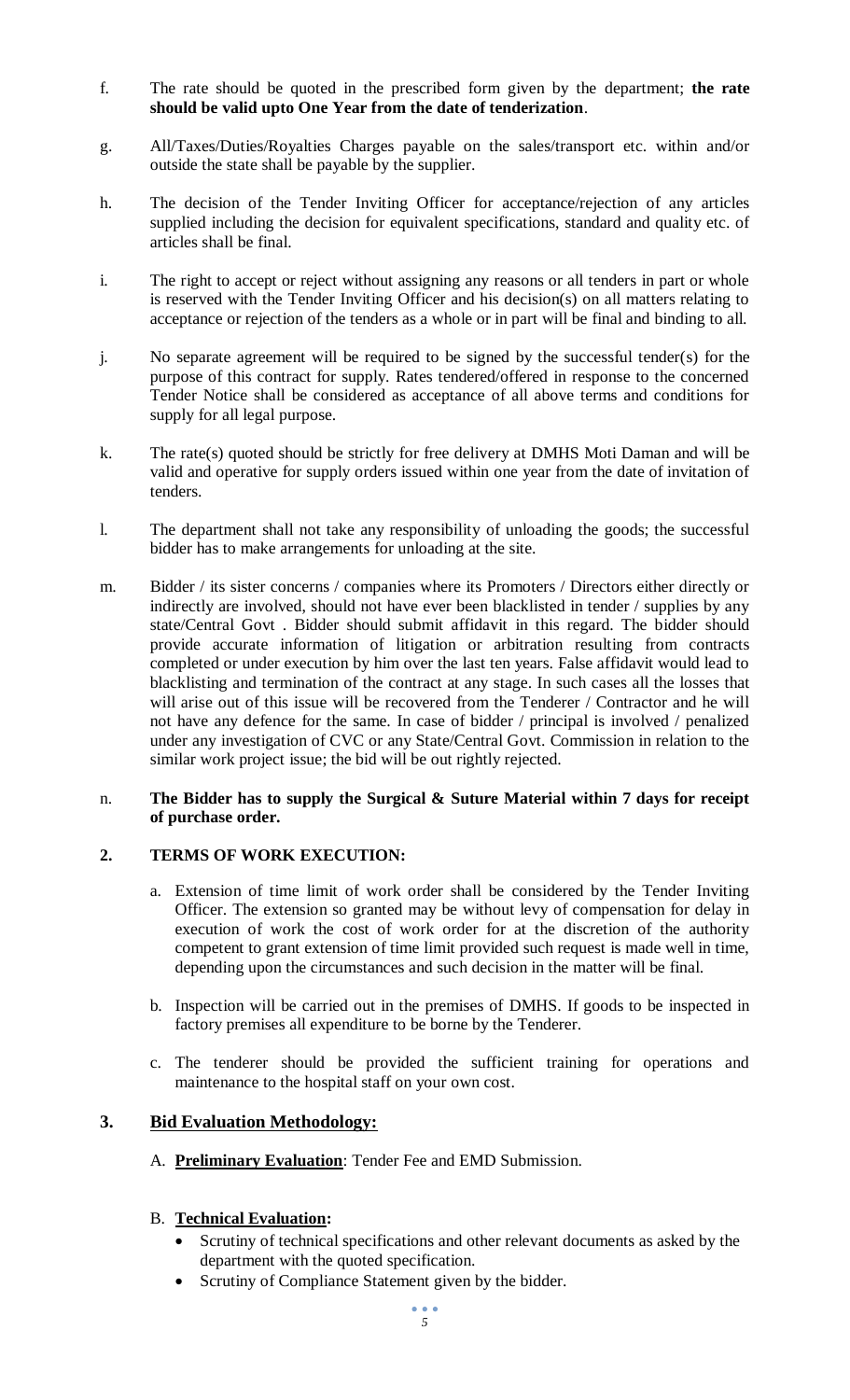- f. The rate should be quoted in the prescribed form given by the department; **the rate should be valid upto One Year from the date of tenderization**.
- g. All/Taxes/Duties/Royalties Charges payable on the sales/transport etc. within and/or outside the state shall be payable by the supplier.
- h. The decision of the Tender Inviting Officer for acceptance/rejection of any articles supplied including the decision for equivalent specifications, standard and quality etc. of articles shall be final.
- i. The right to accept or reject without assigning any reasons or all tenders in part or whole is reserved with the Tender Inviting Officer and his decision(s) on all matters relating to acceptance or rejection of the tenders as a whole or in part will be final and binding to all.
- j. No separate agreement will be required to be signed by the successful tender(s) for the purpose of this contract for supply. Rates tendered/offered in response to the concerned Tender Notice shall be considered as acceptance of all above terms and conditions for supply for all legal purpose.
- k. The rate(s) quoted should be strictly for free delivery at DMHS Moti Daman and will be valid and operative for supply orders issued within one year from the date of invitation of tenders.
- l. The department shall not take any responsibility of unloading the goods; the successful bidder has to make arrangements for unloading at the site.
- m. Bidder / its sister concerns / companies where its Promoters / Directors either directly or indirectly are involved, should not have ever been blacklisted in tender / supplies by any state/Central Govt . Bidder should submit affidavit in this regard. The bidder should provide accurate information of litigation or arbitration resulting from contracts completed or under execution by him over the last ten years. False affidavit would lead to blacklisting and termination of the contract at any stage. In such cases all the losses that will arise out of this issue will be recovered from the Tenderer / Contractor and he will not have any defence for the same. In case of bidder / principal is involved / penalized under any investigation of CVC or any State/Central Govt. Commission in relation to the similar work project issue; the bid will be out rightly rejected.

#### n. **The Bidder has to supply the Surgical & Suture Material within 7 days for receipt of purchase order.**

## **2. TERMS OF WORK EXECUTION:**

- a. Extension of time limit of work order shall be considered by the Tender Inviting Officer. The extension so granted may be without levy of compensation for delay in execution of work the cost of work order for at the discretion of the authority competent to grant extension of time limit provided such request is made well in time, depending upon the circumstances and such decision in the matter will be final.
- b. Inspection will be carried out in the premises of DMHS. If goods to be inspected in factory premises all expenditure to be borne by the Tenderer.
- c. The tenderer should be provided the sufficient training for operations and maintenance to the hospital staff on your own cost.

## **3. Bid Evaluation Methodology:**

A. **Preliminary Evaluation**: Tender Fee and EMD Submission.

#### B. **Technical Evaluation:**

- Scrutiny of technical specifications and other relevant documents as asked by the department with the quoted specification.
- Scrutiny of Compliance Statement given by the bidder.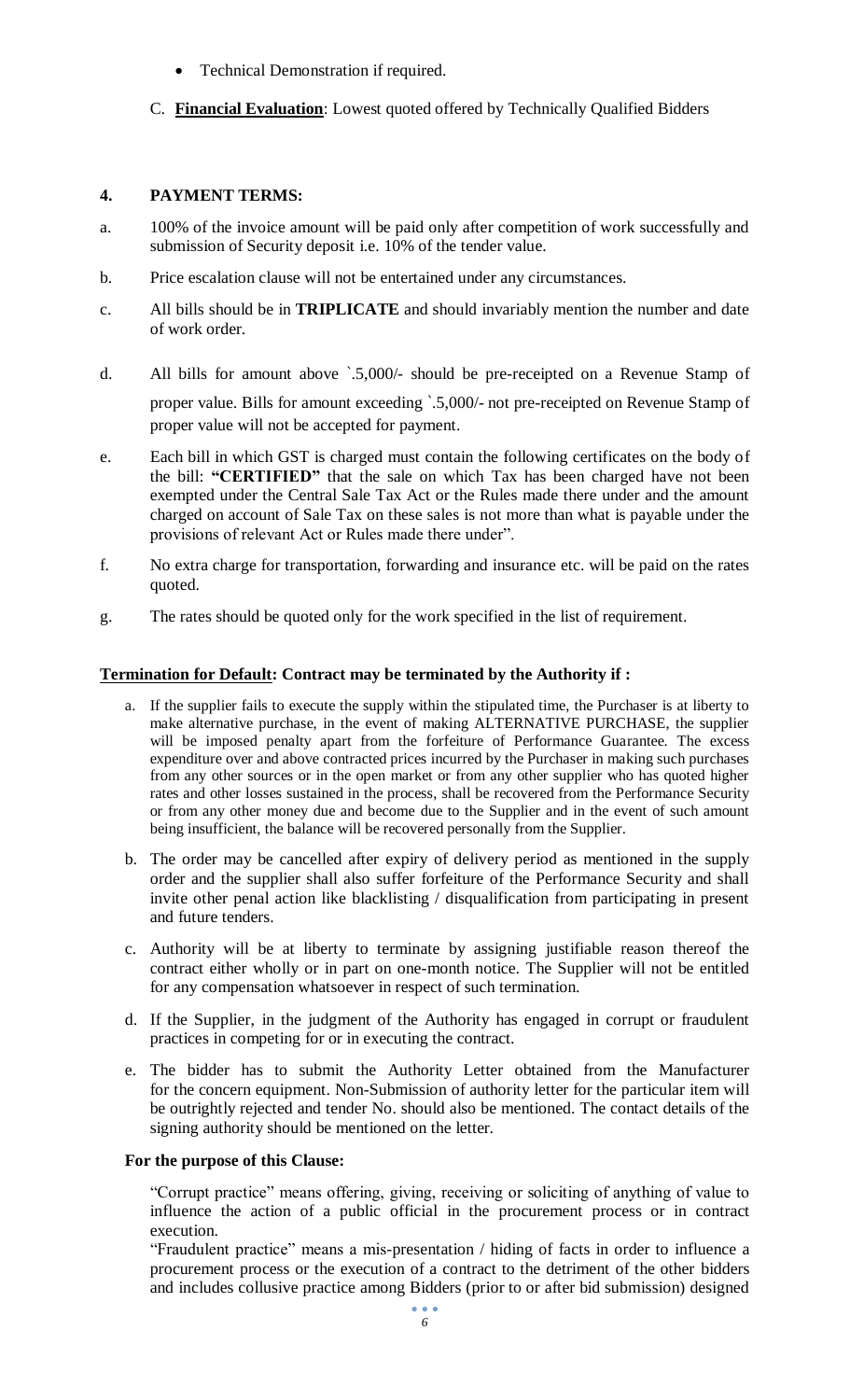- Technical Demonstration if required.
- C. **Financial Evaluation**: Lowest quoted offered by Technically Qualified Bidders

## **4. PAYMENT TERMS:**

- a. 100% of the invoice amount will be paid only after competition of work successfully and submission of Security deposit i.e. 10% of the tender value.
- b. Price escalation clause will not be entertained under any circumstances.
- c. All bills should be in **TRIPLICATE** and should invariably mention the number and date of work order.
- d. All bills for amount above `.5,000/- should be pre-receipted on a Revenue Stamp of proper value. Bills for amount exceeding `.5,000/- not pre-receipted on Revenue Stamp of proper value will not be accepted for payment.
- e. Each bill in which GST is charged must contain the following certificates on the body of the bill: **"CERTIFIED"** that the sale on which Tax has been charged have not been exempted under the Central Sale Tax Act or the Rules made there under and the amount charged on account of Sale Tax on these sales is not more than what is payable under the provisions of relevant Act or Rules made there under".
- f. No extra charge for transportation, forwarding and insurance etc. will be paid on the rates quoted.
- g. The rates should be quoted only for the work specified in the list of requirement.

## **Termination for Default: Contract may be terminated by the Authority if :**

- a. If the supplier fails to execute the supply within the stipulated time, the Purchaser is at liberty to make alternative purchase, in the event of making ALTERNATIVE PURCHASE, the supplier will be imposed penalty apart from the forfeiture of Performance Guarantee. The excess expenditure over and above contracted prices incurred by the Purchaser in making such purchases from any other sources or in the open market or from any other supplier who has quoted higher rates and other losses sustained in the process, shall be recovered from the Performance Security or from any other money due and become due to the Supplier and in the event of such amount being insufficient, the balance will be recovered personally from the Supplier.
- b. The order may be cancelled after expiry of delivery period as mentioned in the supply order and the supplier shall also suffer forfeiture of the Performance Security and shall invite other penal action like blacklisting / disqualification from participating in present and future tenders.
- c. Authority will be at liberty to terminate by assigning justifiable reason thereof the contract either wholly or in part on one-month notice. The Supplier will not be entitled for any compensation whatsoever in respect of such termination.
- d. If the Supplier, in the judgment of the Authority has engaged in corrupt or fraudulent practices in competing for or in executing the contract.
- e. The bidder has to submit the Authority Letter obtained from the Manufacturer for the concern equipment. Non-Submission of authority letter for the particular item will be outrightly rejected and tender No. should also be mentioned. The contact details of the signing authority should be mentioned on the letter.

## **For the purpose of this Clause:**

 "Corrupt practice" means offering, giving, receiving or soliciting of anything of value to influence the action of a public official in the procurement process or in contract execution.

 "Fraudulent practice" means a mis-presentation / hiding of facts in order to influence a procurement process or the execution of a contract to the detriment of the other bidders and includes collusive practice among Bidders (prior to or after bid submission) designed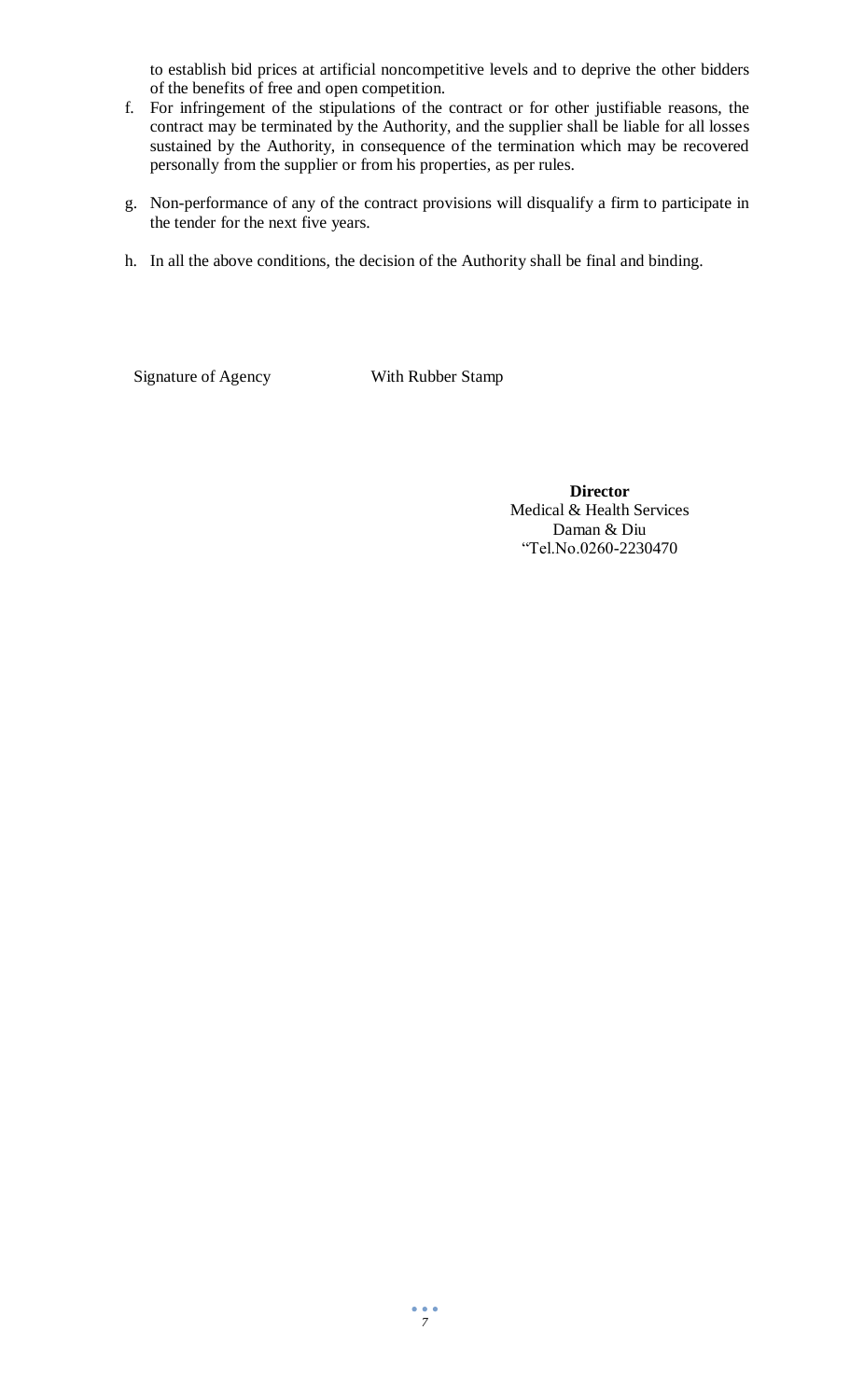to establish bid prices at artificial noncompetitive levels and to deprive the other bidders of the benefits of free and open competition.

- f. For infringement of the stipulations of the contract or for other justifiable reasons, the contract may be terminated by the Authority, and the supplier shall be liable for all losses sustained by the Authority, in consequence of the termination which may be recovered personally from the supplier or from his properties, as per rules.
- g. Non-performance of any of the contract provisions will disqualify a firm to participate in the tender for the next five years.
- h. In all the above conditions, the decision of the Authority shall be final and binding.

Signature of Agency With Rubber Stamp

**Director** Medical & Health Services Daman & Diu "Tel.No.0260-2230470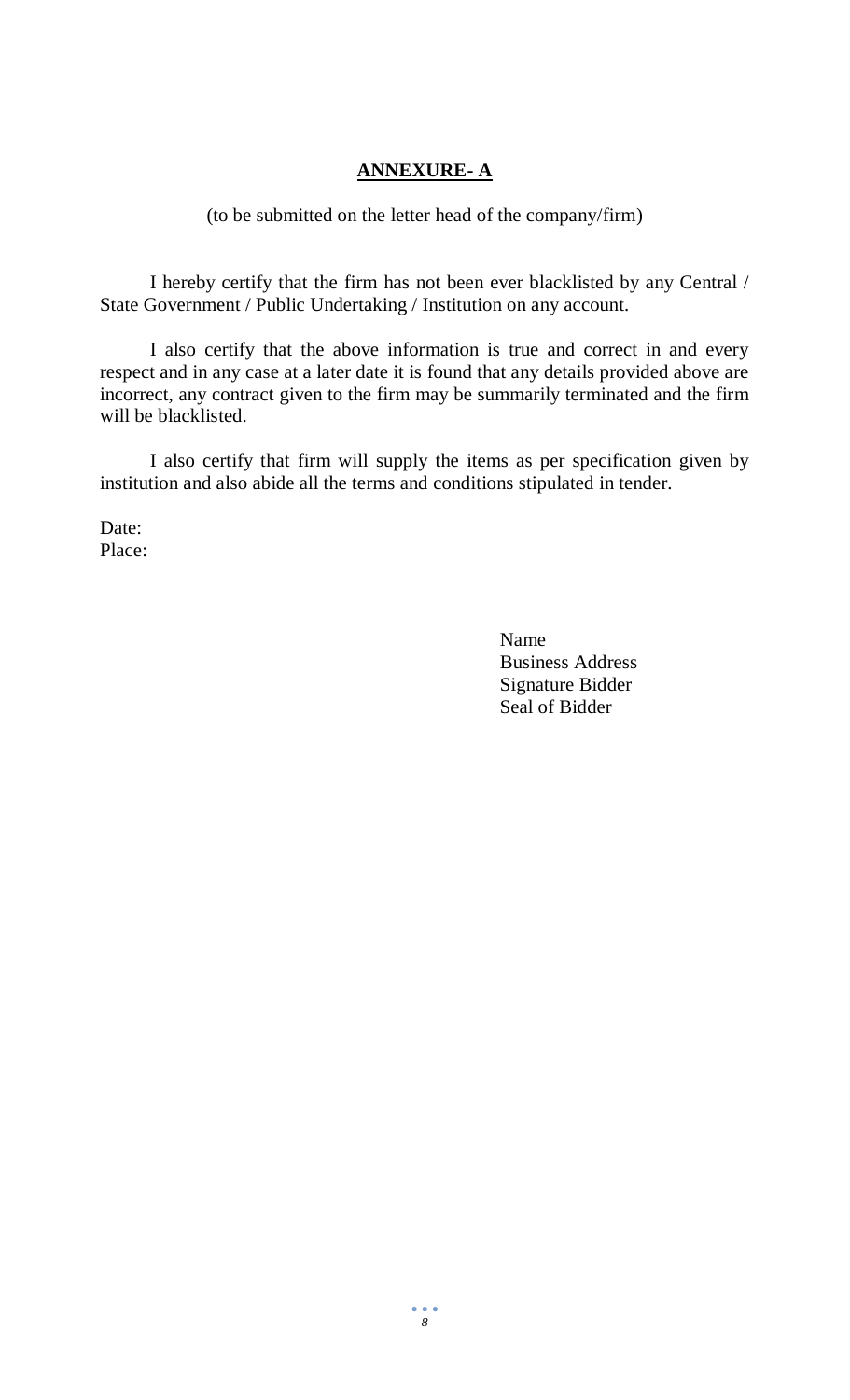# **ANNEXURE- A**

### (to be submitted on the letter head of the company/firm)

I hereby certify that the firm has not been ever blacklisted by any Central / State Government / Public Undertaking / Institution on any account.

I also certify that the above information is true and correct in and every respect and in any case at a later date it is found that any details provided above are incorrect, any contract given to the firm may be summarily terminated and the firm will be blacklisted.

I also certify that firm will supply the items as per specification given by institution and also abide all the terms and conditions stipulated in tender.

Date: Place:

> Name Business Address Signature Bidder Seal of Bidder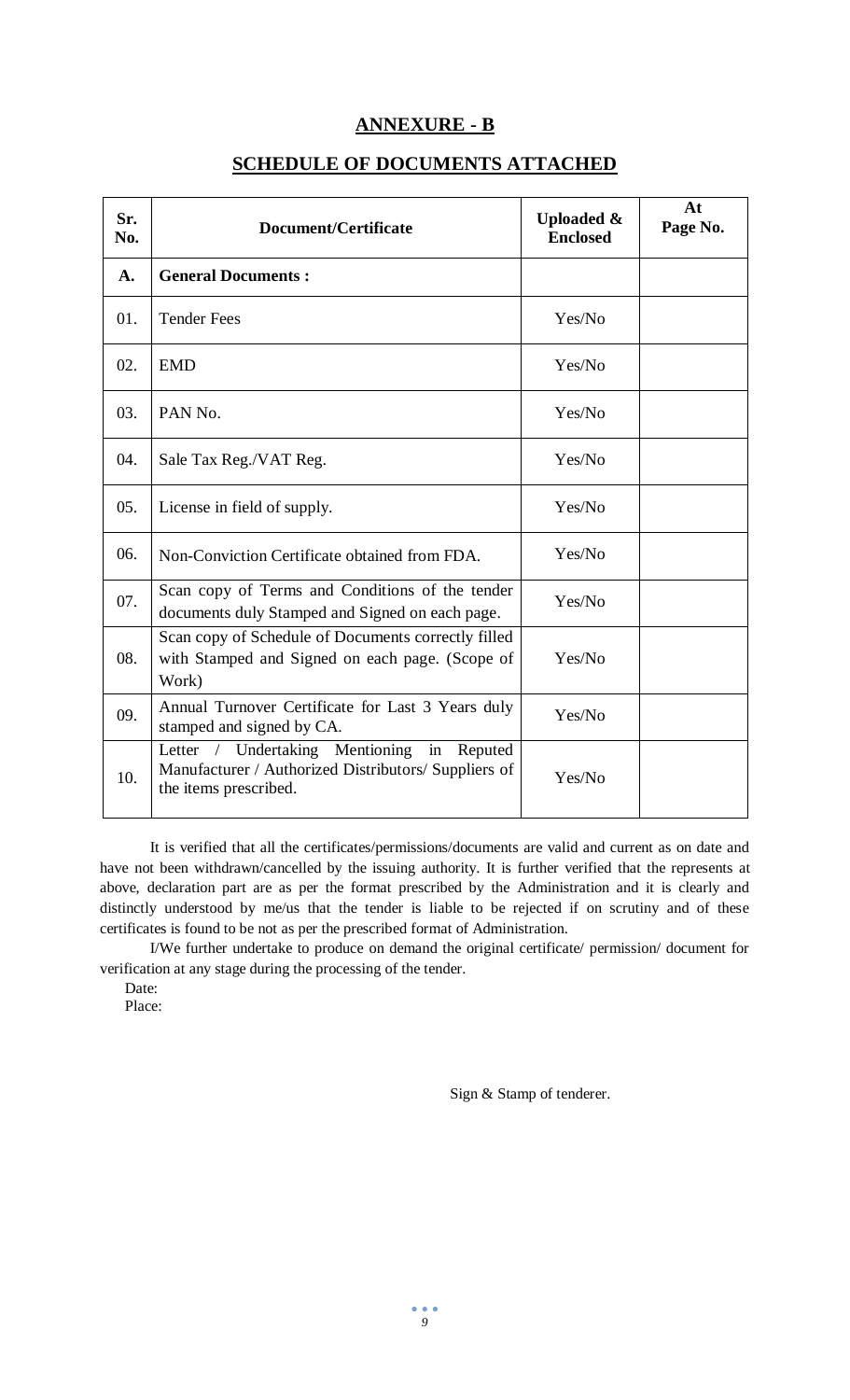# **ANNEXURE - B**

# **SCHEDULE OF DOCUMENTS ATTACHED**

| Sr.<br>No. | <b>Document/Certificate</b>                                                                                                    | <b>Uploaded &amp;</b><br><b>Enclosed</b> | At<br>Page No. |
|------------|--------------------------------------------------------------------------------------------------------------------------------|------------------------------------------|----------------|
| A.         | <b>General Documents:</b>                                                                                                      |                                          |                |
| 01.        | <b>Tender Fees</b>                                                                                                             | Yes/No                                   |                |
| 02.        | <b>EMD</b>                                                                                                                     | Yes/No                                   |                |
| 03.        | PAN No.                                                                                                                        | Yes/No                                   |                |
| 04.        | Sale Tax Reg./VAT Reg.                                                                                                         | Yes/No                                   |                |
| 05.        | License in field of supply.                                                                                                    | Yes/No                                   |                |
| 06.        | Non-Conviction Certificate obtained from FDA.                                                                                  | Yes/No                                   |                |
| 07.        | Scan copy of Terms and Conditions of the tender<br>documents duly Stamped and Signed on each page.                             | Yes/No                                   |                |
| 08.        | Scan copy of Schedule of Documents correctly filled<br>with Stamped and Signed on each page. (Scope of<br>Work)                | Yes/No                                   |                |
| 09.        | Annual Turnover Certificate for Last 3 Years duly<br>stamped and signed by CA.                                                 | Yes/No                                   |                |
| 10.        | Letter / Undertaking Mentioning<br>in Reputed<br>Manufacturer / Authorized Distributors/ Suppliers of<br>the items prescribed. | Yes/No                                   |                |

It is verified that all the certificates/permissions/documents are valid and current as on date and have not been withdrawn/cancelled by the issuing authority. It is further verified that the represents at above, declaration part are as per the format prescribed by the Administration and it is clearly and distinctly understood by me/us that the tender is liable to be rejected if on scrutiny and of these certificates is found to be not as per the prescribed format of Administration.

I/We further undertake to produce on demand the original certificate/ permission/ document for verification at any stage during the processing of the tender.

Date:

Place:

Sign & Stamp of tenderer.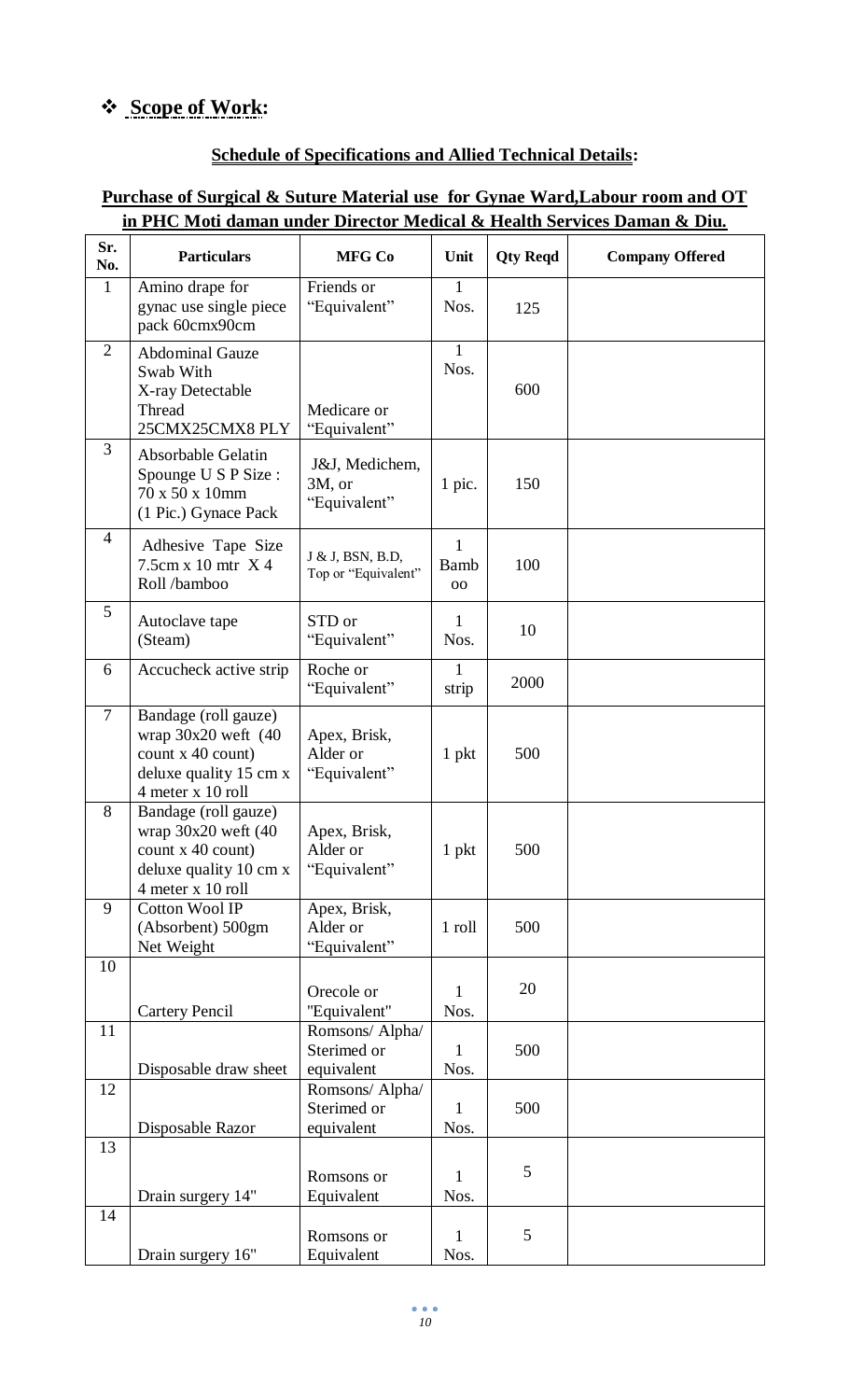# **Scope of Work:**

# **Schedule of Specifications and Allied Technical Details:**

# **Purchase of Surgical & Suture Material use for Gynae Ward,Labour room and OT in PHC Moti daman under Director Medical & Health Services Daman & Diu.**

| Sr.<br>No.     | <b>Particulars</b>                                                                                                   | <b>MFG Co</b>                                | Unit                       | <b>Qty Reqd</b> | <b>Company Offered</b> |
|----------------|----------------------------------------------------------------------------------------------------------------------|----------------------------------------------|----------------------------|-----------------|------------------------|
| $\mathbf{1}$   | Amino drape for<br>gynac use single piece<br>pack 60cmx90cm                                                          | Friends or<br>"Equivalent"                   | $\mathbf{1}$<br>Nos.       | 125             |                        |
| $\overline{2}$ | <b>Abdominal Gauze</b><br>Swab With<br>X-ray Detectable<br>Thread<br>25CMX25CMX8 PLY                                 | Medicare or<br>"Equivalent"                  | $\mathbf{1}$<br>Nos.       | 600             |                        |
| 3              | Absorbable Gelatin<br>Spounge U S P Size :<br>70 x 50 x 10mm<br>(1 Pic.) Gynace Pack                                 | J&J, Medichem,<br>3M, or<br>"Equivalent"     | 1 pic.                     | 150             |                        |
| $\overline{4}$ | Adhesive Tape Size<br>$7.5cm \times 10$ mtr $X$ 4<br>Roll/bamboo                                                     | J & J, BSN, B.D,<br>Top or "Equivalent"      | 1<br><b>Bamb</b><br>$00\,$ | 100             |                        |
| 5              | Autoclave tape<br>(Steam)                                                                                            | STD or<br>"Equivalent"                       | 1<br>Nos.                  | 10              |                        |
| 6              | Accucheck active strip                                                                                               | Roche or<br>"Equivalent"                     | 1<br>strip                 | 2000            |                        |
| $\overline{7}$ | Bandage (roll gauze)<br>wrap $30x20$ weft $(40)$<br>count x 40 count)<br>deluxe quality 15 cm x<br>4 meter x 10 roll | Apex, Brisk,<br>Alder or<br>"Equivalent"     | 1 pkt                      | 500             |                        |
| 8              | Bandage (roll gauze)<br>wrap $30x20$ weft $(40)$<br>count x 40 count)<br>deluxe quality 10 cm x<br>4 meter x 10 roll | Apex, Brisk,<br>Alder or<br>"Equivalent"     | 1 pkt                      | 500             |                        |
| 9              | <b>Cotton Wool IP</b><br>(Absorbent) 500gm<br>Net Weight                                                             | Apex, Brisk,<br>Alder or<br>"Equivalent"     | 1 roll                     | 500             |                        |
| 10             | <b>Cartery Pencil</b>                                                                                                | Orecole or<br>"Equivalent"                   | 1<br>Nos.                  | 20              |                        |
| 11             | Disposable draw sheet                                                                                                | Romsons/ Alpha/<br>Sterimed or<br>equivalent | 1<br>Nos.                  | 500             |                        |
| 12             | Disposable Razor                                                                                                     | Romsons/ Alpha/<br>Sterimed or<br>equivalent | 1<br>Nos.                  | 500             |                        |
| 13             | Drain surgery 14"                                                                                                    | Romsons or<br>Equivalent                     | 1<br>Nos.                  | 5               |                        |
| 14             | Drain surgery 16"                                                                                                    | Romsons or<br>Equivalent                     | 1<br>Nos.                  | 5               |                        |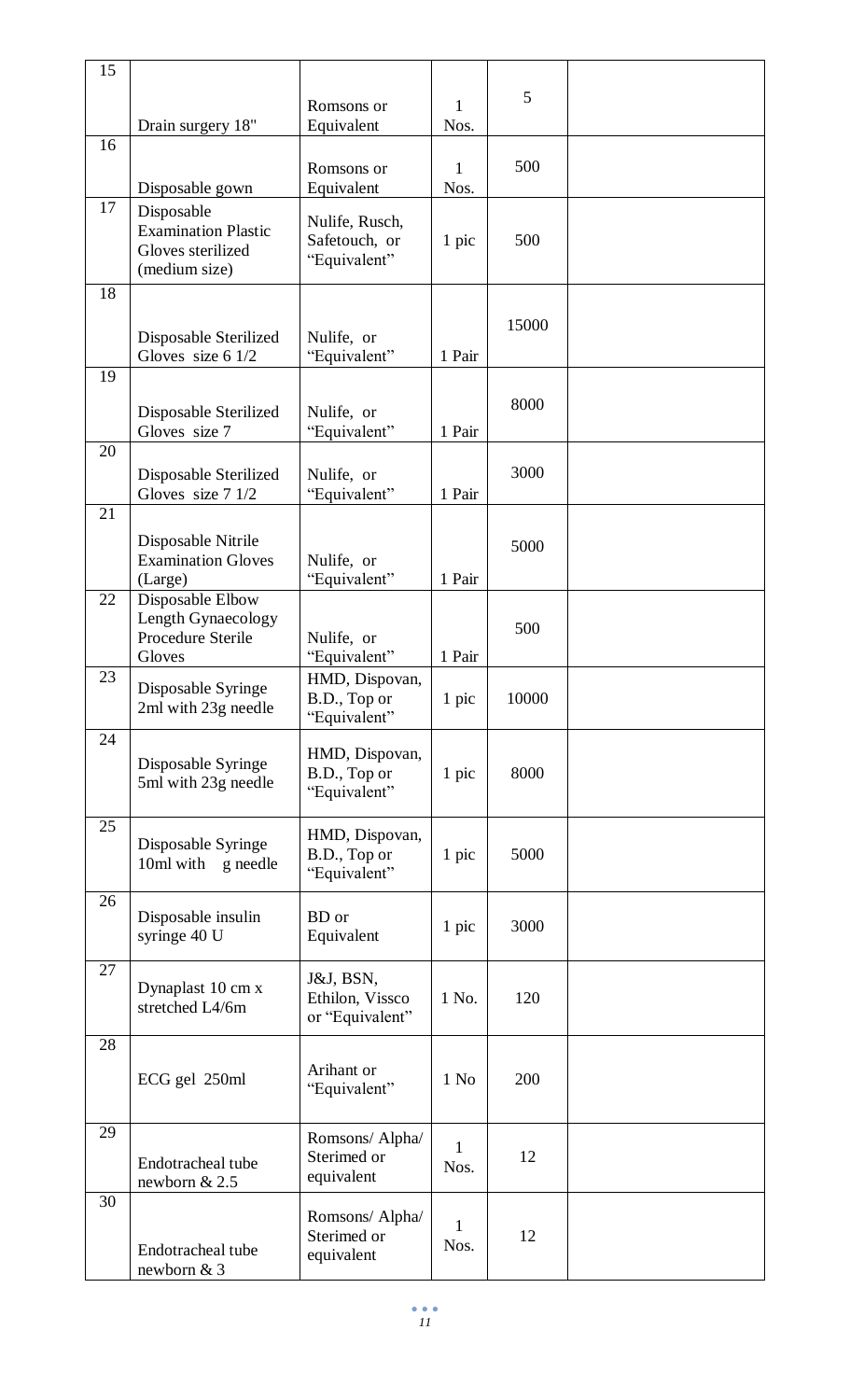| 15 |                                                                                |                                                 |                      |       |  |
|----|--------------------------------------------------------------------------------|-------------------------------------------------|----------------------|-------|--|
| 16 | Drain surgery 18"                                                              | Romsons or<br>Equivalent                        | $\mathbf{1}$<br>Nos. | 5     |  |
|    | Disposable gown                                                                | Romsons or<br>Equivalent                        | 1<br>Nos.            | 500   |  |
| 17 | Disposable<br><b>Examination Plastic</b><br>Gloves sterilized<br>(medium size) | Nulife, Rusch,<br>Safetouch, or<br>"Equivalent" | 1 pic                | 500   |  |
| 18 | Disposable Sterilized<br>Gloves size 6 1/2                                     | Nulife, or<br>"Equivalent"                      | 1 Pair               | 15000 |  |
| 19 | Disposable Sterilized<br>Gloves size 7                                         | Nulife, or<br>"Equivalent"                      | 1 Pair               | 8000  |  |
| 20 | Disposable Sterilized<br>Gloves size 7 1/2                                     | Nulife, or<br>"Equivalent"                      | 1 Pair               | 3000  |  |
| 21 | Disposable Nitrile<br><b>Examination Gloves</b><br>(Large)                     | Nulife, or<br>"Equivalent"                      | 1 Pair               | 5000  |  |
| 22 | Disposable Elbow<br>Length Gynaecology<br>Procedure Sterile<br>Gloves          | Nulife, or<br>"Equivalent"                      | 1 Pair               | 500   |  |
| 23 | Disposable Syringe<br>2ml with 23g needle                                      | HMD, Dispovan,<br>B.D., Top or<br>"Equivalent"  | 1 pic                | 10000 |  |
| 24 | Disposable Syringe<br>5ml with 23g needle                                      | HMD, Dispovan,<br>B.D., Top or<br>"Equivalent"  | 1 pic                | 8000  |  |
| 25 | Disposable Syringe<br>10ml with<br>g needle                                    | HMD, Dispovan,<br>B.D., Top or<br>"Equivalent"  | 1 pic                | 5000  |  |
| 26 | Disposable insulin<br>syringe 40 U                                             | BD or<br>Equivalent                             | 1 pic                | 3000  |  |
| 27 | Dynaplast 10 cm x<br>stretched L4/6m                                           | J&J, BSN,<br>Ethilon, Vissco<br>or "Equivalent" | 1 No.                | 120   |  |
| 28 | ECG gel 250ml                                                                  | Arihant or<br>"Equivalent"                      | $1$ No               | 200   |  |
| 29 | Endotracheal tube<br>newborn & 2.5                                             | Romsons/ Alpha/<br>Sterimed or<br>equivalent    | $\mathbf{1}$<br>Nos. | 12    |  |
| 30 | Endotracheal tube<br>newborn & 3                                               | Romsons/ Alpha/<br>Sterimed or<br>equivalent    | 1<br>Nos.            | 12    |  |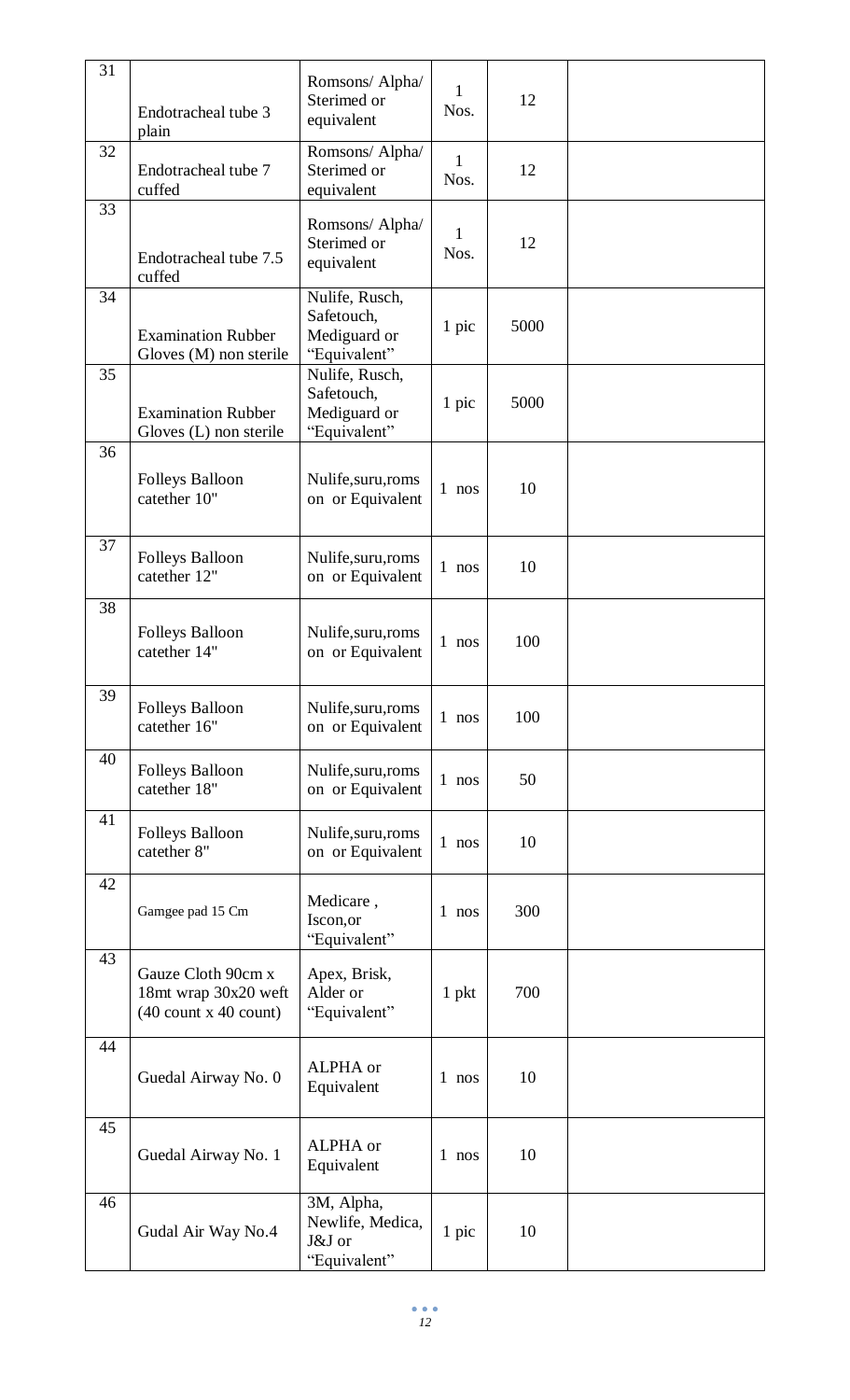| 31 | Endotracheal tube 3<br>plain                                          | Romsons/ Alpha/<br>Sterimed or<br>equivalent                 | 1<br>Nos. | 12   |  |
|----|-----------------------------------------------------------------------|--------------------------------------------------------------|-----------|------|--|
| 32 | Endotracheal tube 7<br>cuffed                                         | Romsons/ Alpha/<br>Sterimed or<br>equivalent                 | 1<br>Nos. | 12   |  |
| 33 | Endotracheal tube 7.5<br>cuffed                                       | Romsons/ Alpha/<br>Sterimed or<br>equivalent                 | 1<br>Nos. | 12   |  |
| 34 | <b>Examination Rubber</b><br>Gloves (M) non sterile                   | Nulife, Rusch,<br>Safetouch,<br>Mediguard or<br>"Equivalent" | 1 pic     | 5000 |  |
| 35 | <b>Examination Rubber</b><br>Gloves (L) non sterile                   | Nulife, Rusch,<br>Safetouch,<br>Mediguard or<br>"Equivalent" | 1 pic     | 5000 |  |
| 36 | <b>Folleys Balloon</b><br>catether 10"                                | Nulife, suru, roms<br>on or Equivalent                       | $1$ nos   | 10   |  |
| 37 | <b>Folleys Balloon</b><br>catether 12"                                | Nulife, suru, roms<br>on or Equivalent                       | $1$ nos   | 10   |  |
| 38 | <b>Folleys Balloon</b><br>catether 14"                                | Nulife, suru, roms<br>on or Equivalent                       | 1 nos     | 100  |  |
| 39 | <b>Folleys Balloon</b><br>catether 16"                                | Nulife, suru, roms<br>on or Equivalent                       | 1 nos     | 100  |  |
| 40 | Folleys Balloon<br>catether 18"                                       | Nulife, suru, roms<br>on or Equivalent                       | $1$ nos   | 50   |  |
| 41 | <b>Folleys Balloon</b><br>catether 8"                                 | Nulife, suru, roms<br>on or Equivalent                       | 1 nos     | 10   |  |
| 42 | Gamgee pad 15 Cm                                                      | Medicare,<br>Iscon, or<br>"Equivalent"                       | $1$ nos   | 300  |  |
| 43 | Gauze Cloth 90cm x<br>18mt wrap 30x20 weft<br>$(40$ count x 40 count) | Apex, Brisk,<br>Alder or<br>"Equivalent"                     | $1$ pkt   | 700  |  |
| 44 | Guedal Airway No. 0                                                   | ALPHA or<br>Equivalent                                       | $1$ nos   | 10   |  |
| 45 | Guedal Airway No. 1                                                   | ALPHA or<br>Equivalent                                       | $1$ nos   | 10   |  |
| 46 | Gudal Air Way No.4                                                    | 3M, Alpha,<br>Newlife, Medica,<br>J&J or<br>"Equivalent"     | 1 pic     | 10   |  |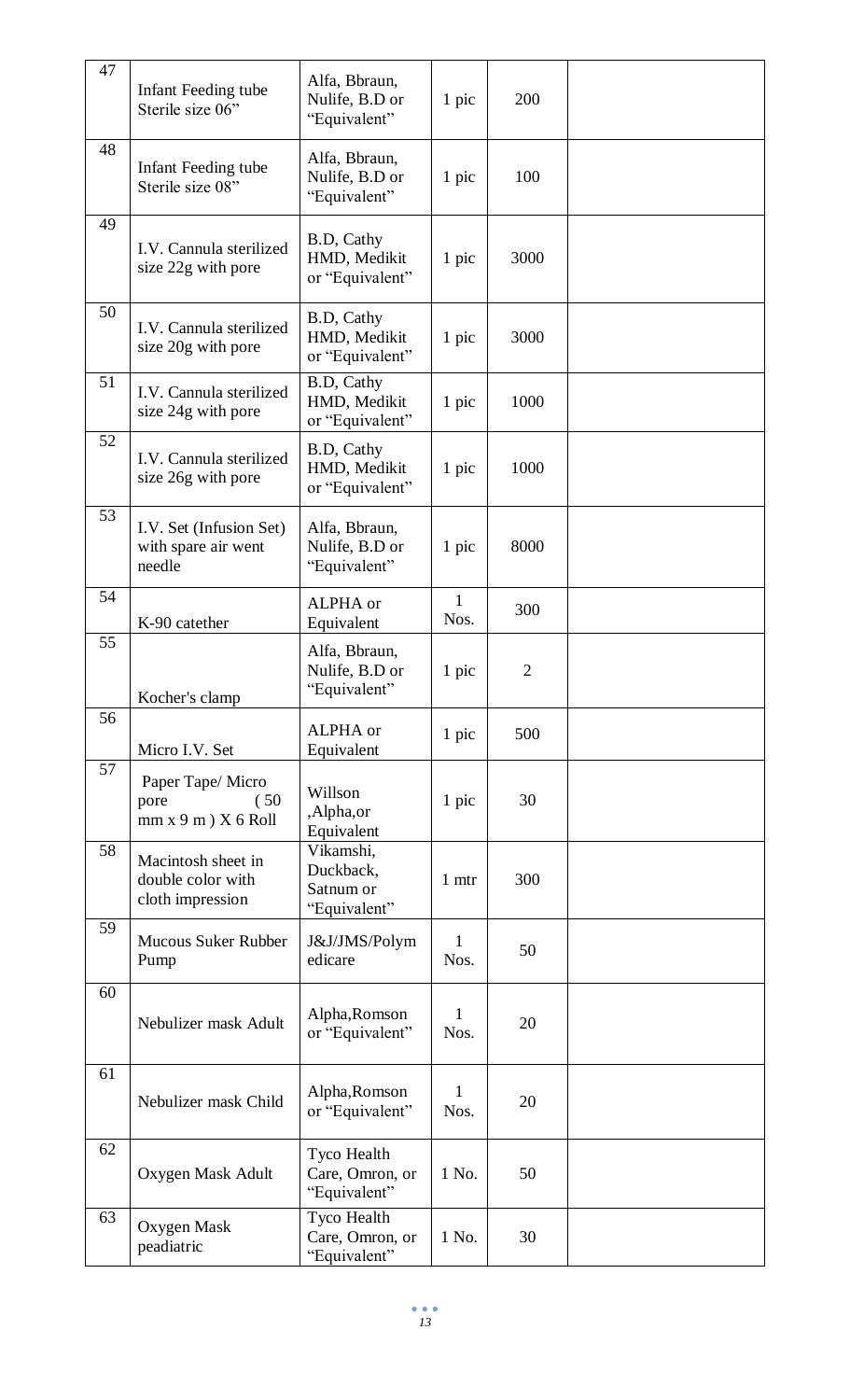| 47 | Infant Feeding tube<br>Sterile size 06"                     | Alfa, Bbraun,<br>Nulife, B.D or<br>"Equivalent"     | 1 pic     | 200            |  |
|----|-------------------------------------------------------------|-----------------------------------------------------|-----------|----------------|--|
| 48 | Infant Feeding tube<br>Sterile size 08"                     | Alfa, Bbraun,<br>Nulife, B.D or<br>"Equivalent"     | 1 pic     | 100            |  |
| 49 | I.V. Cannula sterilized<br>size 22g with pore               | B.D, Cathy<br>HMD, Medikit<br>or "Equivalent"       | 1 pic     | 3000           |  |
| 50 | I.V. Cannula sterilized<br>size 20g with pore               | B.D, Cathy<br>HMD, Medikit<br>or "Equivalent"       | 1 pic     | 3000           |  |
| 51 | I.V. Cannula sterilized<br>size 24g with pore               | B.D, Cathy<br>HMD, Medikit<br>or "Equivalent"       | 1 pic     | 1000           |  |
| 52 | I.V. Cannula sterilized<br>size 26g with pore               | B.D, Cathy<br>HMD, Medikit<br>or "Equivalent"       | 1 pic     | 1000           |  |
| 53 | I.V. Set (Infusion Set)<br>with spare air went<br>needle    | Alfa, Bbraun,<br>Nulife, B.D or<br>"Equivalent"     | 1 pic     | 8000           |  |
| 54 | K-90 catether                                               | ALPHA or<br>Equivalent                              | 1<br>Nos. | 300            |  |
| 55 | Kocher's clamp                                              | Alfa, Bbraun,<br>Nulife, B.D or<br>"Equivalent"     | 1 pic     | $\overline{2}$ |  |
| 56 | Micro I.V. Set                                              | ALPHA or<br>Equivalent                              | 1 pic     | 500            |  |
| 57 | Paper Tape/Micro<br>(50)<br>pore<br>mm x 9 m) X 6 Roll      | Willson<br>,Alpha,or<br>Equivalent                  | 1 pic     | 30             |  |
| 58 | Macintosh sheet in<br>double color with<br>cloth impression | Vikamshi,<br>Duckback,<br>Satnum or<br>"Equivalent" | 1 mtr     | 300            |  |
| 59 | <b>Mucous Suker Rubber</b><br>Pump                          | J&J/JMS/Polym<br>edicare                            | 1<br>Nos. | 50             |  |
| 60 | Nebulizer mask Adult                                        | Alpha, Romson<br>or "Equivalent"                    | 1<br>Nos. | 20             |  |
| 61 | Nebulizer mask Child                                        | Alpha, Romson<br>or "Equivalent"                    | 1<br>Nos. | 20             |  |
| 62 | Oxygen Mask Adult                                           | Tyco Health<br>Care, Omron, or<br>"Equivalent"      | 1 No.     | 50             |  |
| 63 | Oxygen Mask<br>peadiatric                                   | Tyco Health<br>Care, Omron, or<br>"Equivalent"      | 1 No.     | 30             |  |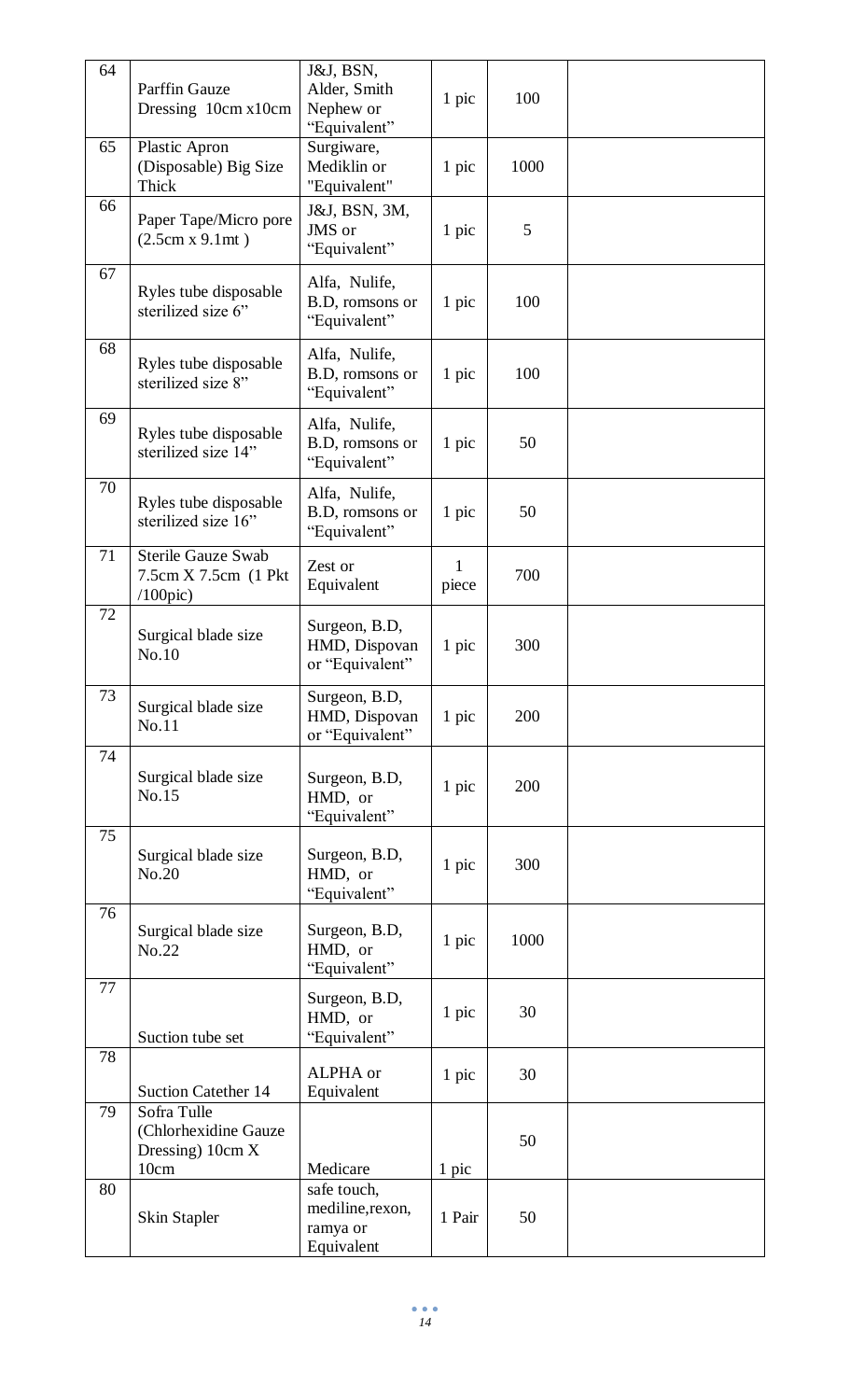| 64 | Parffin Gauze<br>Dressing 10cm x10cm                              | J&J, BSN,<br>Alder, Smith<br>Nephew or<br>"Equivalent"    | 1 pic      | 100  |  |
|----|-------------------------------------------------------------------|-----------------------------------------------------------|------------|------|--|
| 65 | Plastic Apron<br>(Disposable) Big Size<br>Thick                   | Surgiware,<br>Mediklin or<br>"Equivalent"                 | 1 pic      | 1000 |  |
| 66 | Paper Tape/Micro pore<br>(2.5cm x 9.1mt)                          | J&J, BSN, 3M,<br>JMS or<br>"Equivalent"                   | 1 pic      | 5    |  |
| 67 | Ryles tube disposable<br>sterilized size 6"                       | Alfa, Nulife,<br>B.D, romsons or<br>"Equivalent"          | 1 pic      | 100  |  |
| 68 | Ryles tube disposable<br>sterilized size 8"                       | Alfa, Nulife,<br>B.D, romsons or<br>"Equivalent"          | 1 pic      | 100  |  |
| 69 | Ryles tube disposable<br>sterilized size 14"                      | Alfa, Nulife,<br>B.D, romsons or<br>"Equivalent"          | 1 pic      | 50   |  |
| 70 | Ryles tube disposable<br>sterilized size 16"                      | Alfa, Nulife,<br>B.D, romsons or<br>"Equivalent"          | 1 pic      | 50   |  |
| 71 | <b>Sterile Gauze Swab</b><br>7.5cm X 7.5cm (1 Pkt)<br>$/100$ pic) | Zest or<br>Equivalent                                     | 1<br>piece | 700  |  |
| 72 | Surgical blade size<br>No.10                                      | Surgeon, B.D,<br>HMD, Dispovan<br>or "Equivalent"         | 1 pic      | 300  |  |
| 73 | Surgical blade size<br>No.11                                      | Surgeon, B.D,<br>HMD, Dispovan<br>or "Equivalent"         | 1 pic      | 200  |  |
| 74 | Surgical blade size<br>No.15                                      | Surgeon, B.D,<br>HMD, or<br>"Equivalent"                  | 1 pic      | 200  |  |
| 75 | Surgical blade size<br>No.20                                      | Surgeon, B.D,<br>HMD, or<br>"Equivalent"                  | 1 pic      | 300  |  |
| 76 | Surgical blade size<br>No.22                                      | Surgeon, B.D,<br>HMD, or<br>"Equivalent"                  | 1 pic      | 1000 |  |
| 77 | Suction tube set                                                  | Surgeon, B.D,<br>HMD, or<br>"Equivalent"                  | 1 pic      | 30   |  |
| 78 | <b>Suction Catether 14</b>                                        | ALPHA or<br>Equivalent                                    | 1 pic      | 30   |  |
| 79 | Sofra Tulle<br>(Chlorhexidine Gauze<br>Dressing) $10cm X$<br>10cm | Medicare                                                  | 1 pic      | 50   |  |
| 80 | <b>Skin Stapler</b>                                               | safe touch,<br>mediline, rexon,<br>ramya or<br>Equivalent | 1 Pair     | 50   |  |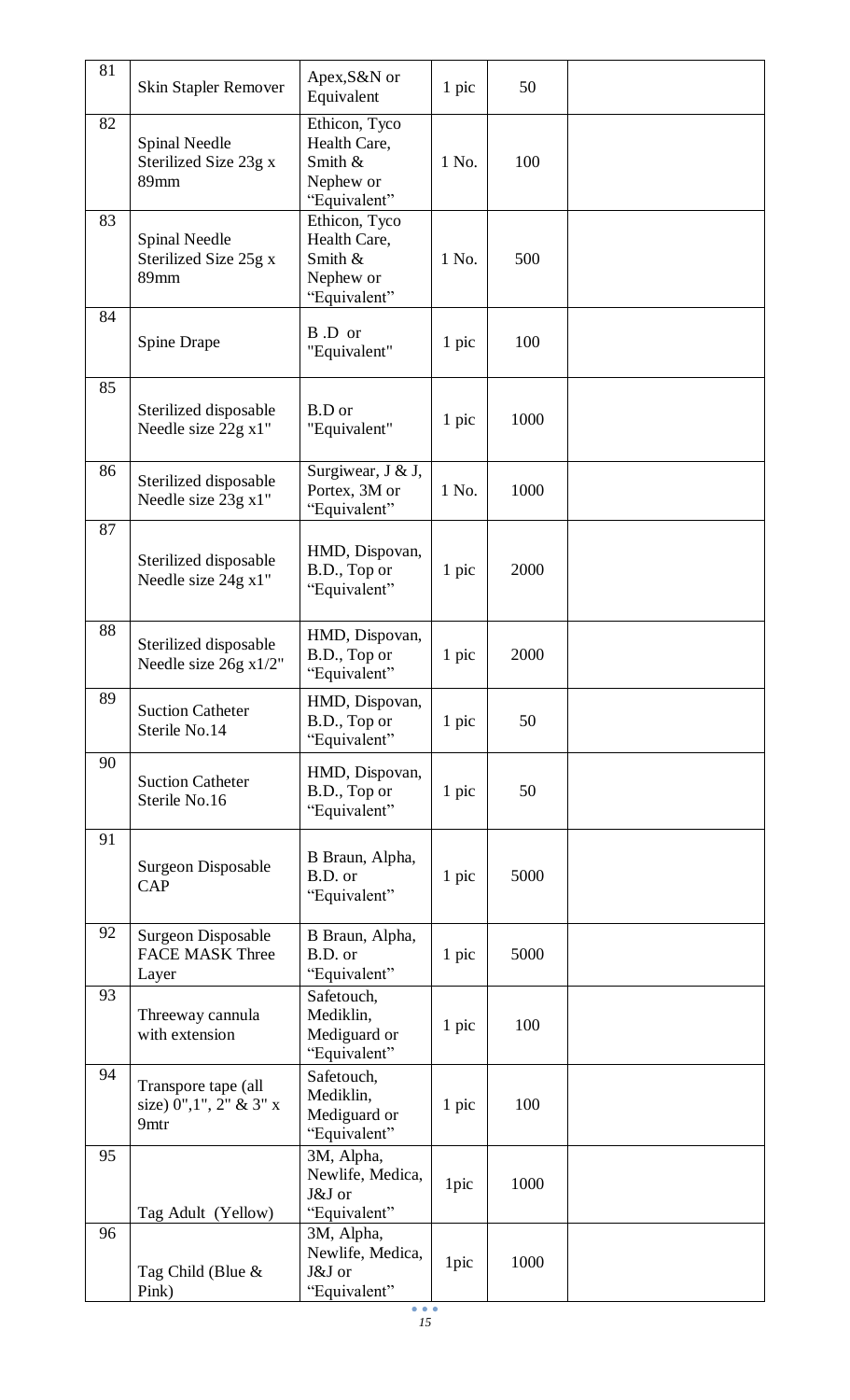| 81 | Skin Stapler Remover                                   | Apex, S&N or<br>Equivalent                                            | 1 pic | 50   |  |
|----|--------------------------------------------------------|-----------------------------------------------------------------------|-------|------|--|
| 82 | <b>Spinal Needle</b><br>Sterilized Size 23g x<br>89mm  | Ethicon, Tyco<br>Health Care,<br>Smith &<br>Nephew or<br>"Equivalent" | 1 No. | 100  |  |
| 83 | Spinal Needle<br>Sterilized Size 25g x<br>89mm         | Ethicon, Tyco<br>Health Care,<br>Smith &<br>Nephew or<br>"Equivalent" | 1 No. | 500  |  |
| 84 | Spine Drape                                            | B.D or<br>"Equivalent"                                                | 1 pic | 100  |  |
| 85 | Sterilized disposable<br>Needle size 22g x1"           | <b>B.D</b> or<br>"Equivalent"                                         | 1 pic | 1000 |  |
| 86 | Sterilized disposable<br>Needle size 23g x1"           | Surgiwear, J & J,<br>Portex, 3M or<br>"Equivalent"                    | 1 No. | 1000 |  |
| 87 | Sterilized disposable<br>Needle size 24g x1"           | HMD, Dispovan,<br>B.D., Top or<br>"Equivalent"                        | 1 pic | 2000 |  |
| 88 | Sterilized disposable<br>Needle size 26g x1/2"         | HMD, Dispovan,<br>B.D., Top or<br>"Equivalent"                        | 1 pic | 2000 |  |
| 89 | <b>Suction Catheter</b><br>Sterile No.14               | HMD, Dispovan,<br>B.D., Top or<br>"Equivalent"                        | 1 pic | 50   |  |
| 90 | <b>Suction Catheter</b><br>Sterile No.16               | HMD, Dispovan,<br>B.D., Top or<br>"Equivalent"                        | 1 pic | 50   |  |
| 91 | Surgeon Disposable<br><b>CAP</b>                       | B Braun, Alpha,<br>B.D. or<br>"Equivalent"                            | 1 pic | 5000 |  |
| 92 | Surgeon Disposable<br><b>FACE MASK Three</b><br>Layer  | B Braun, Alpha,<br>B.D. or<br>"Equivalent"                            | 1 pic | 5000 |  |
| 93 | Threeway cannula<br>with extension                     | Safetouch,<br>Mediklin,<br>Mediguard or<br>"Equivalent"               | 1 pic | 100  |  |
| 94 | Transpore tape (all<br>size) 0", 1", 2" & 3" x<br>9mtr | Safetouch,<br>Mediklin,<br>Mediguard or<br>"Equivalent"               | 1 pic | 100  |  |
| 95 | Tag Adult (Yellow)                                     | 3M, Alpha,<br>Newlife, Medica,<br>J&J or<br>"Equivalent"              | 1pic  | 1000 |  |
| 96 | Tag Child (Blue &<br>Pink)                             | 3M, Alpha,<br>Newlife, Medica,<br>J&J or<br>"Equivalent"              | 1pic  | 1000 |  |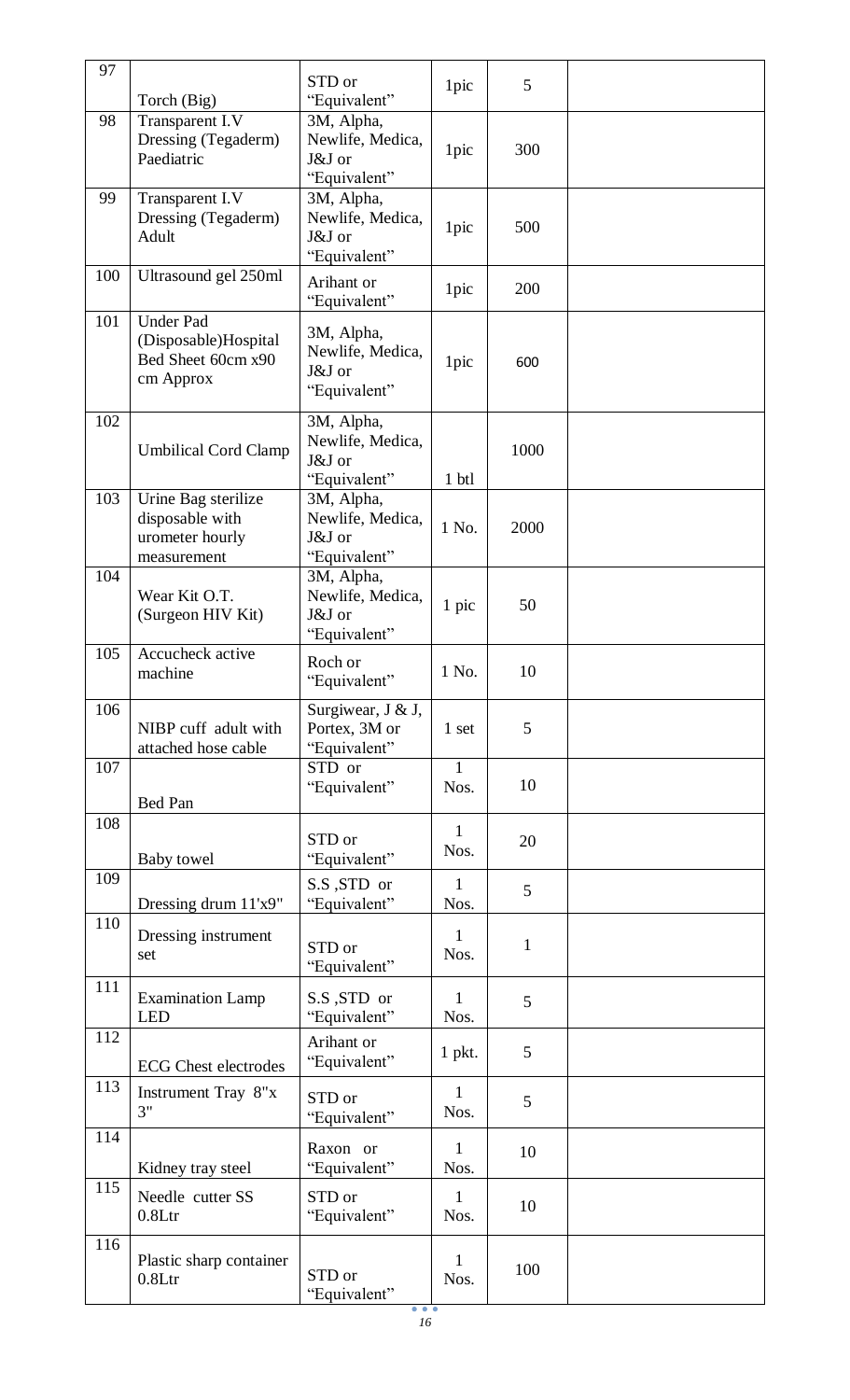| 97  |                                                                             |                                                          |                      |              |  |
|-----|-----------------------------------------------------------------------------|----------------------------------------------------------|----------------------|--------------|--|
|     | Torch (Big)                                                                 | STD or<br>"Equivalent"                                   | 1pic                 | 5            |  |
| 98  | Transparent I.V<br>Dressing (Tegaderm)<br>Paediatric                        | 3M, Alpha,<br>Newlife, Medica,<br>J&J or<br>"Equivalent" | 1pic                 | 300          |  |
| 99  | Transparent I.V<br>Dressing (Tegaderm)<br>Adult                             | 3M, Alpha,<br>Newlife, Medica,<br>J&J or<br>"Equivalent" | 1pic                 | 500          |  |
| 100 | Ultrasound gel 250ml                                                        | Arihant or<br>"Equivalent"                               | 1pic                 | 200          |  |
| 101 | <b>Under Pad</b><br>(Disposable)Hospital<br>Bed Sheet 60cm x90<br>cm Approx | 3M, Alpha,<br>Newlife, Medica,<br>J&J or<br>"Equivalent" | 1pic                 | 600          |  |
| 102 | <b>Umbilical Cord Clamp</b>                                                 | 3M, Alpha,<br>Newlife, Medica,<br>J&J or<br>"Equivalent" | 1 btl                | 1000         |  |
| 103 | Urine Bag sterilize<br>disposable with<br>urometer hourly<br>measurement    | 3M, Alpha,<br>Newlife, Medica,<br>J&J or<br>"Equivalent" | 1 No.                | 2000         |  |
| 104 | Wear Kit O.T.<br>(Surgeon HIV Kit)                                          | 3M, Alpha,<br>Newlife, Medica,<br>J&J or<br>"Equivalent" | 1 pic                | 50           |  |
| 105 | Accucheck active<br>machine                                                 | Roch or<br>"Equivalent"                                  | 1 No.                | 10           |  |
| 106 | NIBP cuff adult with<br>attached hose cable                                 | Surgiwear, J & J,<br>Portex, 3M or<br>"Equivalent"       | 1 set                | 5            |  |
| 107 | <b>Bed Pan</b>                                                              | STD or<br>"Equivalent"                                   | $\mathbf{1}$<br>Nos. | 10           |  |
| 108 | Baby towel                                                                  | STD or<br>"Equivalent"                                   | $\mathbf{1}$<br>Nos. | 20           |  |
| 109 | Dressing drum 11'x9"                                                        | S.S, STD or<br>"Equivalent"                              | 1<br>Nos.            | 5            |  |
| 110 | Dressing instrument<br>set                                                  | STD or<br>"Equivalent"                                   | 1<br>Nos.            | $\mathbf{1}$ |  |
| 111 | <b>Examination Lamp</b><br><b>LED</b>                                       | S.S, STD or<br>"Equivalent"                              | $\mathbf{1}$<br>Nos. | 5            |  |
| 112 | <b>ECG</b> Chest electrodes                                                 | Arihant or<br>"Equivalent"                               | $1$ pkt.             | 5            |  |
| 113 | Instrument Tray 8"x<br>3"                                                   | STD or<br>"Equivalent"                                   | 1<br>Nos.            | 5            |  |
| 114 | Kidney tray steel                                                           | Raxon or<br>"Equivalent"                                 | $\mathbf{1}$<br>Nos. | 10           |  |
| 115 | Needle cutter SS<br>0.8 <sub>ctr</sub>                                      | STD or<br>"Equivalent"                                   | $\mathbf{1}$<br>Nos. | 10           |  |
| 116 | Plastic sharp container<br>0.8 <sub>Lt</sub>                                | STD or<br>"Equivalent"                                   | 1<br>Nos.            | 100          |  |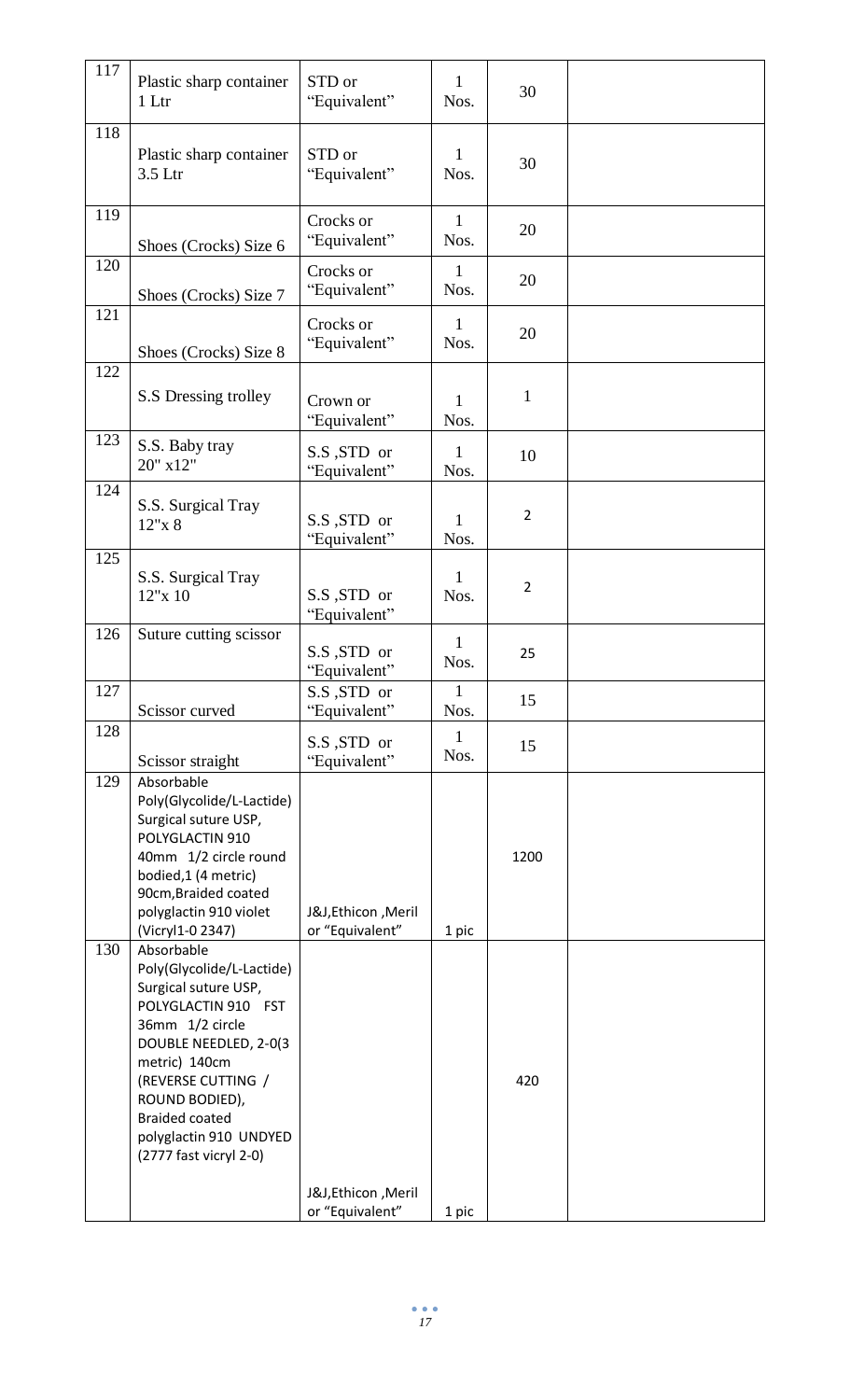| 117 | Plastic sharp container<br>1 Ltr                                                                                                                                                                                                                                         | STD or<br>"Equivalent"                | 1<br>Nos.            | 30             |  |
|-----|--------------------------------------------------------------------------------------------------------------------------------------------------------------------------------------------------------------------------------------------------------------------------|---------------------------------------|----------------------|----------------|--|
| 118 | Plastic sharp container<br>3.5 Ltr                                                                                                                                                                                                                                       | STD or<br>"Equivalent"                | $\mathbf{1}$<br>Nos. | 30             |  |
| 119 | Shoes (Crocks) Size 6                                                                                                                                                                                                                                                    | Crocks or<br>"Equivalent"             | $\mathbf{1}$<br>Nos. | 20             |  |
| 120 | Shoes (Crocks) Size 7                                                                                                                                                                                                                                                    | Crocks or<br>"Equivalent"             | $\mathbf{1}$<br>Nos. | 20             |  |
| 121 | Shoes (Crocks) Size 8                                                                                                                                                                                                                                                    | Crocks or<br>"Equivalent"             | $\mathbf{1}$<br>Nos. | 20             |  |
| 122 | S.S Dressing trolley                                                                                                                                                                                                                                                     | Crown or<br>"Equivalent"              | 1<br>Nos.            | $\mathbf{1}$   |  |
| 123 | S.S. Baby tray<br>20" x12"                                                                                                                                                                                                                                               | S.S, STD or<br>"Equivalent"           | $\mathbf{1}$<br>Nos. | 10             |  |
| 124 | S.S. Surgical Tray<br>12"x 8                                                                                                                                                                                                                                             | S.S, STD or<br>"Equivalent"           | $\mathbf{1}$<br>Nos. | $\overline{2}$ |  |
| 125 | S.S. Surgical Tray<br>12"x 10                                                                                                                                                                                                                                            | S.S, STD or<br>"Equivalent"           | $\mathbf{1}$<br>Nos. | $\overline{2}$ |  |
| 126 | Suture cutting scissor                                                                                                                                                                                                                                                   | S.S, STD or<br>"Equivalent"           | $\mathbf{1}$<br>Nos. | 25             |  |
| 127 | Scissor curved                                                                                                                                                                                                                                                           | S.S, STD or<br>"Equivalent"           | $\mathbf{1}$<br>Nos. | 15             |  |
| 128 | Scissor straight                                                                                                                                                                                                                                                         | S.S, STD or<br>"Equivalent"           | $\mathbf{1}$<br>Nos. | 15             |  |
| 129 | Absorbable<br>Poly(Glycolide/L-Lactide)<br>Surgical suture USP,<br>POLYGLACTIN 910<br>40mm 1/2 circle round<br>bodied,1 (4 metric)<br>90cm, Braided coated<br>polyglactin 910 violet<br>(Vicryl1-0 2347)                                                                 | J&J,Ethicon, Meril<br>or "Equivalent" | 1 pic                | 1200           |  |
| 130 | Absorbable<br>Poly(Glycolide/L-Lactide)<br>Surgical suture USP,<br>POLYGLACTIN 910 FST<br>36mm 1/2 circle<br>DOUBLE NEEDLED, 2-0(3<br>metric) 140cm<br>(REVERSE CUTTING /<br>ROUND BODIED),<br><b>Braided coated</b><br>polyglactin 910 UNDYED<br>(2777 fast vicryl 2-0) | J&J,Ethicon, Meril                    |                      | 420            |  |
|     |                                                                                                                                                                                                                                                                          | or "Equivalent"                       | 1 pic                |                |  |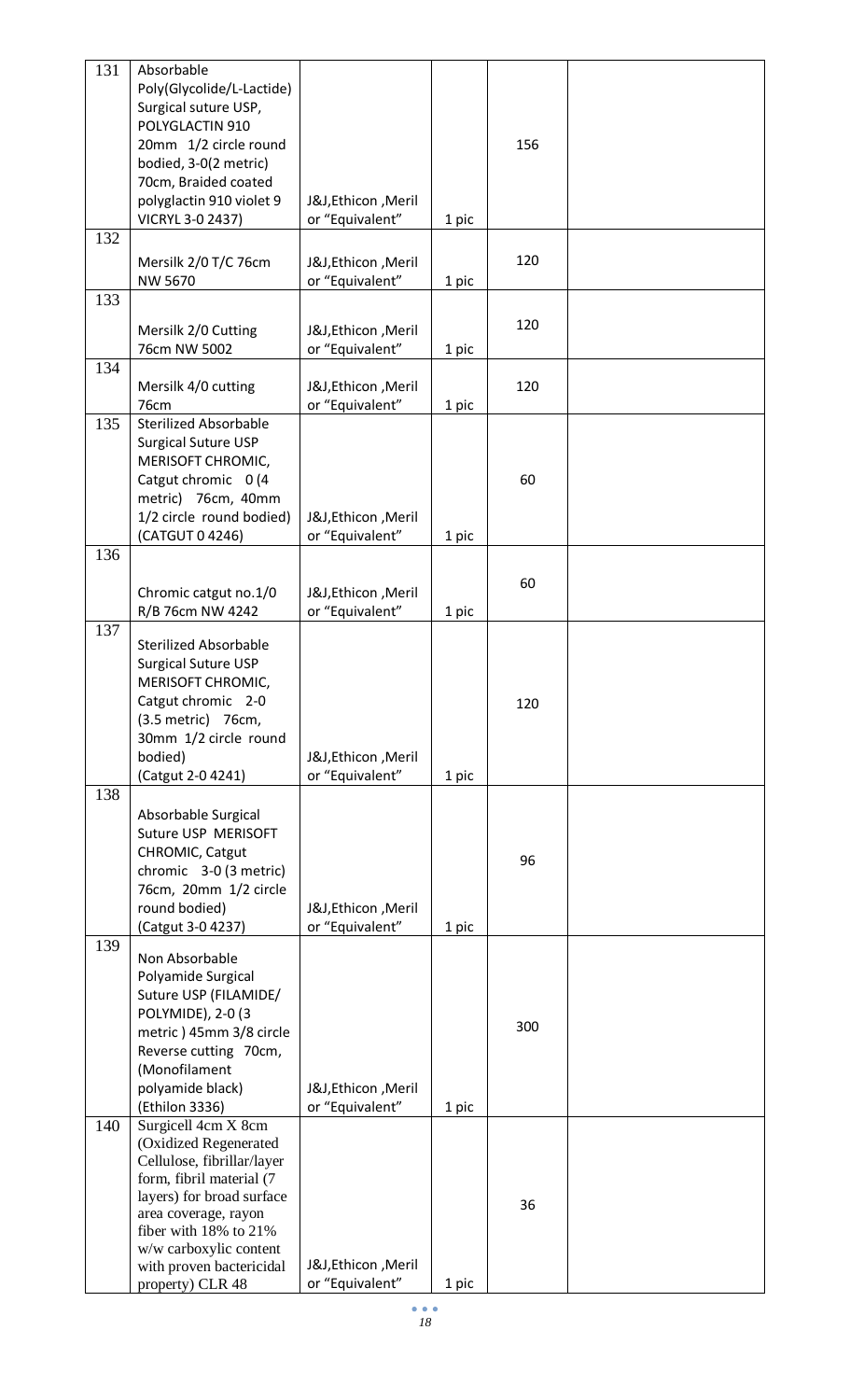| 131 | Absorbable                   |                    |       |     |  |
|-----|------------------------------|--------------------|-------|-----|--|
|     | Poly(Glycolide/L-Lactide)    |                    |       |     |  |
|     | Surgical suture USP,         |                    |       |     |  |
|     | POLYGLACTIN 910              |                    |       |     |  |
|     | 20mm 1/2 circle round        |                    |       | 156 |  |
|     |                              |                    |       |     |  |
|     | bodied, 3-0(2 metric)        |                    |       |     |  |
|     | 70cm, Braided coated         |                    |       |     |  |
|     | polyglactin 910 violet 9     | J&J,Ethicon, Meril |       |     |  |
|     | VICRYL 3-0 2437)             | or "Equivalent"    | 1 pic |     |  |
| 132 |                              |                    |       |     |  |
|     |                              |                    |       |     |  |
|     | Mersilk 2/0 T/C 76cm         | J&J,Ethicon, Meril |       | 120 |  |
|     | NW 5670                      | or "Equivalent"    | 1 pic |     |  |
| 133 |                              |                    |       |     |  |
|     |                              |                    |       |     |  |
|     | Mersilk 2/0 Cutting          | J&J,Ethicon, Meril |       | 120 |  |
|     | 76cm NW 5002                 | or "Equivalent"    | 1 pic |     |  |
| 134 |                              |                    |       |     |  |
|     |                              |                    |       |     |  |
|     | Mersilk 4/0 cutting          | J&J,Ethicon, Meril |       | 120 |  |
|     | <b>76cm</b>                  | or "Equivalent"    | 1 pic |     |  |
| 135 | <b>Sterilized Absorbable</b> |                    |       |     |  |
|     | <b>Surgical Suture USP</b>   |                    |       |     |  |
|     | MERISOFT CHROMIC,            |                    |       |     |  |
|     | Catgut chromic 0 (4          |                    |       | 60  |  |
|     |                              |                    |       |     |  |
|     | metric) 76cm, 40mm           |                    |       |     |  |
|     | 1/2 circle round bodied)     | J&J,Ethicon, Meril |       |     |  |
|     | (CATGUT 0 4246)              | or "Equivalent"    | 1 pic |     |  |
| 136 |                              |                    |       |     |  |
|     |                              |                    |       |     |  |
|     |                              |                    |       | 60  |  |
|     | Chromic catgut no.1/0        | J&J,Ethicon, Meril |       |     |  |
|     | R/B 76cm NW 4242             | or "Equivalent"    | 1 pic |     |  |
| 137 |                              |                    |       |     |  |
|     | <b>Sterilized Absorbable</b> |                    |       |     |  |
|     | <b>Surgical Suture USP</b>   |                    |       |     |  |
|     | MERISOFT CHROMIC,            |                    |       |     |  |
|     | Catgut chromic 2-0           |                    |       | 120 |  |
|     | (3.5 metric) 76cm,           |                    |       |     |  |
|     |                              |                    |       |     |  |
|     | 30mm 1/2 circle round        |                    |       |     |  |
|     | bodied)                      | J&J,Ethicon, Meril |       |     |  |
|     | (Catgut 2-0 4241)            | or "Equivalent"    | 1 pic |     |  |
| 138 |                              |                    |       |     |  |
|     | Absorbable Surgical          |                    |       |     |  |
|     |                              |                    |       |     |  |
|     | Suture USP MERISOFT          |                    |       |     |  |
|     | CHROMIC, Catgut              |                    |       | 96  |  |
|     | chromic 3-0 (3 metric)       |                    |       |     |  |
|     | 76cm, 20mm 1/2 circle        |                    |       |     |  |
|     | round bodied)                | J&J,Ethicon, Meril |       |     |  |
|     | (Catgut 3-0 4237)            | or "Equivalent"    | 1 pic |     |  |
| 139 |                              |                    |       |     |  |
|     | Non Absorbable               |                    |       |     |  |
|     | Polyamide Surgical           |                    |       |     |  |
|     |                              |                    |       |     |  |
|     | Suture USP (FILAMIDE/        |                    |       |     |  |
|     | POLYMIDE), 2-0 (3            |                    |       |     |  |
|     | metric) 45mm 3/8 circle      |                    |       | 300 |  |
|     | Reverse cutting 70cm,        |                    |       |     |  |
|     | (Monofilament                |                    |       |     |  |
|     | polyamide black)             | J&J,Ethicon, Meril |       |     |  |
|     |                              |                    |       |     |  |
|     | (Ethilon 3336)               | or "Equivalent"    | 1 pic |     |  |
| 140 | Surgicell 4cm X 8cm          |                    |       |     |  |
|     | (Oxidized Regenerated        |                    |       |     |  |
|     | Cellulose, fibrillar/layer   |                    |       |     |  |
|     | form, fibril material (7     |                    |       |     |  |
|     | layers) for broad surface    |                    |       | 36  |  |
|     | area coverage, rayon         |                    |       |     |  |
|     | fiber with 18% to 21%        |                    |       |     |  |
|     | w/w carboxylic content       |                    |       |     |  |
|     | with proven bactericidal     | J&J,Ethicon, Meril |       |     |  |
|     | property) CLR 48             | or "Equivalent"    | 1 pic |     |  |
|     |                              |                    |       |     |  |